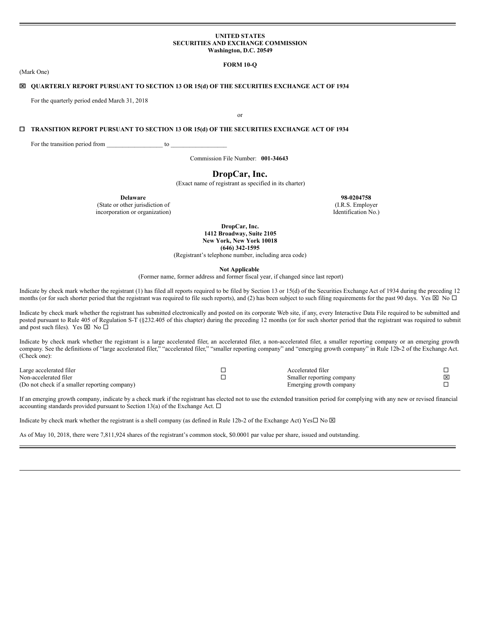#### **UNITED STATES SECURITIES AND EXCHANGE COMMISSION Washington, D.C. 20549**

## **FORM 10-Q**

(Mark One)

## x **QUARTERLY REPORT PURSUANT TO SECTION 13 OR 15(d) OF THE SECURITIES EXCHANGE ACT OF 1934**

For the quarterly period ended March 31, 2018

or

## ¨ **TRANSITION REPORT PURSUANT TO SECTION 13 OR 15(d) OF THE SECURITIES EXCHANGE ACT OF 1934**

For the transition period from \_\_\_\_\_\_\_\_\_\_\_\_\_\_\_\_\_\_\_\_\_\_ to \_

Commission File Number: **001-34643**

## **DropCar, Inc.**

(Exact name of registrant as specified in its charter)

**Delaware 98-0204758**

(State or other jurisdiction of (I.R.S. Employer incorporation or organization) (I.R.S. Employer incorporation or organization)

**DropCar, Inc. 1412 Broadway, Suite 2105 New York, New York 10018 (646) 342-1595**

(Registrant's telephone number, including area code)

**Not Applicable**

(Former name, former address and former fiscal year, if changed since last report)

Indicate by check mark whether the registrant (1) has filed all reports required to be filed by Section 13 or 15(d) of the Securities Exchange Act of 1934 during the preceding 12 months (or for such shorter period that the registrant was required to file such reports), and (2) has been subject to such filing requirements for the past 90 days. Yes  $\boxtimes$  No  $\Box$ 

Indicate by check mark whether the registrant has submitted electronically and posted on its corporate Web site, if any, every Interactive Data File required to be submitted and posted pursuant to Rule 405 of Regulation S-T (§232.405 of this chapter) during the preceding 12 months (or for such shorter period that the registrant was required to submit and post such files). Yes  $\boxtimes$  No  $\square$ 

Indicate by check mark whether the registrant is a large accelerated filer, an accelerated filer, a non-accelerated filer, a smaller reporting company or an emerging growth company. See the definitions of "large accelerated filer," "accelerated filer," "smaller reporting company" and "emerging growth company" in Rule 12b-2 of the Exchange Act. (Check one):

| Large accelerated filer                       | Accelerated filer         |   |
|-----------------------------------------------|---------------------------|---|
| Non-accelerated filer                         | Smaller reporting company | × |
| (Do not check if a smaller reporting company) | Emerging growth company   |   |

If an emerging growth company, indicate by a check mark if the registrant has elected not to use the extended transition period for complying with any new or revised financial accounting standards provided pursuant to Section 13(a) of the Exchange Act.  $\Box$ 

Indicate by check mark whether the registrant is a shell company (as defined in Rule 12b-2 of the Exchange Act) Yes $\Box$  No  $\boxtimes$ 

As of May 10, 2018, there were 7,811,924 shares of the registrant's common stock, \$0.0001 par value per share, issued and outstanding.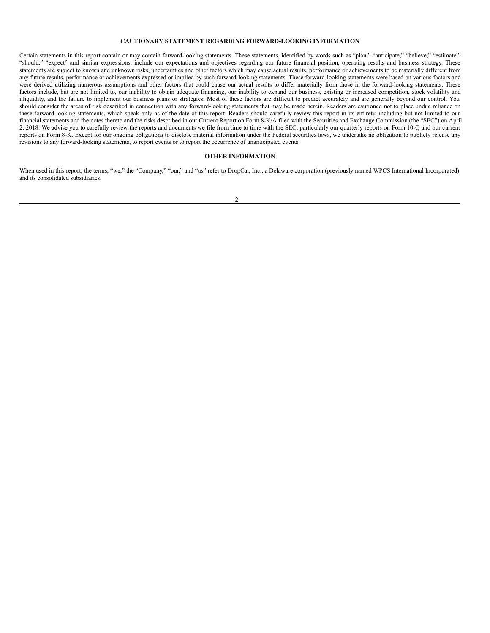## **CAUTIONARY STATEMENT REGARDING FORWARD-LOOKING INFORMATION**

Certain statements in this report contain or may contain forward-looking statements. These statements, identified by words such as "plan," "anticipate," "believe," "estimate," "should," "expect" and similar expressions, include our expectations and objectives regarding our future financial position, operating results and business strategy. These statements are subject to known and unknown risks, uncertainties and other factors which may cause actual results, performance or achievements to be materially different from any future results, performance or achievements expressed or implied by such forward-looking statements. These forward-looking statements were based on various factors and were derived utilizing numerous assumptions and other factors that could cause our actual results to differ materially from those in the forward-looking statements. These factors include, but are not limited to, our inability to obtain adequate financing, our inability to expand our business, existing or increased competition, stock volatility and illiquidity, and the failure to implement our business plans or strategies. Most of these factors are difficult to predict accurately and are generally beyond our control. You should consider the areas of risk described in connection with any forward-looking statements that may be made herein. Readers are cautioned not to place undue reliance on these forward-looking statements, which speak only as of the date of this report. Readers should carefully review this report in its entirety, including but not limited to our financial statements and the notes thereto and the risks described in our Current Report on Form 8-K/A filed with the Securities and Exchange Commission (the "SEC") on April 2, 2018. We advise you to carefully review the reports and documents we file from time to time with the SEC, particularly our quarterly reports on Form 10-Q and our current reports on Form 8-K. Except for our ongoing obligations to disclose material information under the Federal securities laws, we undertake no obligation to publicly release any revisions to any forward-looking statements, to report events or to report the occurrence of unanticipated events.

## **OTHER INFORMATION**

When used in this report, the terms, "we," the "Company," "our," and "us" refer to DropCar, Inc., a Delaware corporation (previously named WPCS International Incorporated) and its consolidated subsidiaries.

 $\mathfrak{D}$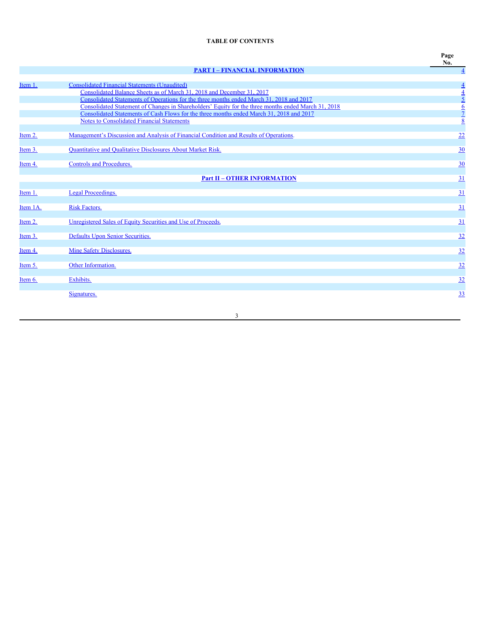# **TABLE OF CONTENTS**

|          |                                                                                                                                                                                                                                                                                                                                                  | Page<br>No.                                             |
|----------|--------------------------------------------------------------------------------------------------------------------------------------------------------------------------------------------------------------------------------------------------------------------------------------------------------------------------------------------------|---------------------------------------------------------|
|          | <b>PART I - FINANCIAL INFORMATION</b>                                                                                                                                                                                                                                                                                                            | $\overline{4}$                                          |
| Item 1.  | <b>Consolidated Financial Statements (Unaudited)</b><br>Consolidated Balance Sheets as of March 31, 2018 and December 31, 2017                                                                                                                                                                                                                   |                                                         |
|          | Consolidated Statements of Operations for the three months ended March 31, 2018 and 2017<br>Consolidated Statement of Changes in Shareholders' Equity for the three months ended March 31, 2018<br>Consolidated Statements of Cash Flows for the three months ended March 31, 2018 and 2017<br><b>Notes to Consolidated Financial Statements</b> | $\frac{4}{4}$ $\frac{5}{2}$ $\frac{6}{2}$ $\frac{7}{8}$ |
| Item 2.  | Management's Discussion and Analysis of Financial Condition and Results of Operations.                                                                                                                                                                                                                                                           | 22                                                      |
| Item 3.  | Quantitative and Qualitative Disclosures About Market Risk.                                                                                                                                                                                                                                                                                      | 30                                                      |
| Item 4.  | <b>Controls and Procedures.</b>                                                                                                                                                                                                                                                                                                                  | $\underline{30}$                                        |
|          | <b>Part II - OTHER INFORMATION</b>                                                                                                                                                                                                                                                                                                               | 31                                                      |
| Item 1.  | Legal Proceedings.                                                                                                                                                                                                                                                                                                                               | 31                                                      |
| Item 1A. | <b>Risk Factors.</b>                                                                                                                                                                                                                                                                                                                             | 31                                                      |
| Item 2.  | Unregistered Sales of Equity Securities and Use of Proceeds.                                                                                                                                                                                                                                                                                     | 31                                                      |
| Item 3.  | Defaults Upon Senior Securities.                                                                                                                                                                                                                                                                                                                 | 32                                                      |
| Item 4.  | Mine Safety Disclosures.                                                                                                                                                                                                                                                                                                                         | 32                                                      |
| Item 5.  | Other Information.                                                                                                                                                                                                                                                                                                                               | 32                                                      |
| Item 6.  | Exhibits.                                                                                                                                                                                                                                                                                                                                        | 32                                                      |
|          | Signatures.                                                                                                                                                                                                                                                                                                                                      | 33                                                      |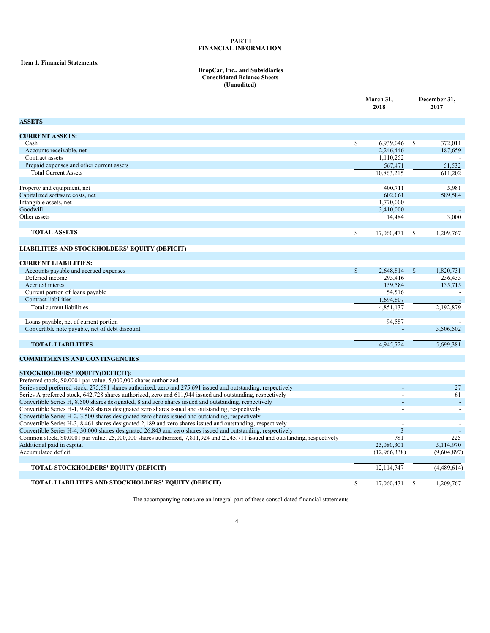#### <span id="page-3-0"></span>**PART I FINANCIAL INFORMATION**

## <span id="page-3-1"></span>**Item 1. Financial Statements.**

#### <span id="page-3-2"></span>**DropCar, Inc., and Subsidiaries Consolidated Balance Sheets (Unaudited)**

|                                                                                                                                                                                                                            |              | March 31,      |              | December 31,             |  |  |
|----------------------------------------------------------------------------------------------------------------------------------------------------------------------------------------------------------------------------|--------------|----------------|--------------|--------------------------|--|--|
|                                                                                                                                                                                                                            |              | 2018           |              | 2017                     |  |  |
|                                                                                                                                                                                                                            |              |                |              |                          |  |  |
| <b>ASSETS</b>                                                                                                                                                                                                              |              |                |              |                          |  |  |
| <b>CURRENT ASSETS:</b>                                                                                                                                                                                                     |              |                |              |                          |  |  |
| Cash                                                                                                                                                                                                                       | $\mathbb{S}$ | 6,939,046      | \$           | 372,011                  |  |  |
| Accounts receivable, net                                                                                                                                                                                                   |              | 2,246,446      |              | 187,659                  |  |  |
| Contract assets                                                                                                                                                                                                            |              | 1,110,252      |              |                          |  |  |
| Prepaid expenses and other current assets                                                                                                                                                                                  |              | 567,471        |              | 51,532                   |  |  |
| <b>Total Current Assets</b>                                                                                                                                                                                                |              | 10.863.215     |              | 611.202                  |  |  |
|                                                                                                                                                                                                                            |              |                |              |                          |  |  |
| Property and equipment, net                                                                                                                                                                                                |              | 400.711        |              | 5,981                    |  |  |
| Capitalized software costs, net                                                                                                                                                                                            |              | 602,061        |              | 589,584                  |  |  |
| Intangible assets, net                                                                                                                                                                                                     |              | 1,770,000      |              |                          |  |  |
| Goodwill                                                                                                                                                                                                                   |              | 3,410,000      |              | $\blacksquare$           |  |  |
| Other assets                                                                                                                                                                                                               |              | 14,484         |              | 3,000                    |  |  |
|                                                                                                                                                                                                                            |              |                |              |                          |  |  |
| <b>TOTAL ASSETS</b>                                                                                                                                                                                                        | \$           | 17,060,471     | S            | 1,209,767                |  |  |
|                                                                                                                                                                                                                            |              |                |              |                          |  |  |
| LIABILITIES AND STOCKHOLDERS' EQUITY (DEFICIT)                                                                                                                                                                             |              |                |              |                          |  |  |
|                                                                                                                                                                                                                            |              |                |              |                          |  |  |
| <b>CURRENT LIABILITIES:</b>                                                                                                                                                                                                |              |                |              |                          |  |  |
| Accounts payable and accrued expenses                                                                                                                                                                                      | $\mathbf S$  | 2,648,814      | $\mathbb{S}$ | 1,820,731                |  |  |
| Deferred income                                                                                                                                                                                                            |              | 293,416        |              | 236,433                  |  |  |
| Accrued interest                                                                                                                                                                                                           |              | 159.584        |              | 135,715                  |  |  |
| Current portion of loans payable                                                                                                                                                                                           |              | 54,516         |              |                          |  |  |
| <b>Contract liabilities</b>                                                                                                                                                                                                |              | 1,694,807      |              |                          |  |  |
| Total current liabilities                                                                                                                                                                                                  |              | 4,851,137      |              | 2,192,879                |  |  |
|                                                                                                                                                                                                                            |              |                |              |                          |  |  |
| Loans payable, net of current portion                                                                                                                                                                                      |              | 94,587         |              |                          |  |  |
| Convertible note payable, net of debt discount                                                                                                                                                                             |              |                |              | 3,506,502                |  |  |
|                                                                                                                                                                                                                            |              |                |              |                          |  |  |
| <b>TOTAL LIABILITIES</b>                                                                                                                                                                                                   |              | 4.945.724      |              | 5.699.381                |  |  |
|                                                                                                                                                                                                                            |              |                |              |                          |  |  |
| <b>COMMITMENTS AND CONTINGENCIES</b>                                                                                                                                                                                       |              |                |              |                          |  |  |
|                                                                                                                                                                                                                            |              |                |              |                          |  |  |
| <b>STOCKHOLDERS' EQUITY(DEFICIT):</b>                                                                                                                                                                                      |              |                |              |                          |  |  |
| Preferred stock, \$0.0001 par value, 5,000,000 shares authorized<br>Series seed preferred stock, 275,691 shares authorized, zero and 275,691 issued and outstanding, respectively                                          |              |                |              | 27                       |  |  |
| Series A preferred stock, 642,728 shares authorized, zero and 611,944 issued and outstanding, respectively                                                                                                                 |              |                |              | 61                       |  |  |
| Convertible Series H, 8,500 shares designated, 8 and zero shares issued and outstanding, respectively                                                                                                                      |              |                |              |                          |  |  |
|                                                                                                                                                                                                                            |              |                |              | $\overline{\phantom{a}}$ |  |  |
| Convertible Series H-1, 9,488 shares designated zero shares issued and outstanding, respectively                                                                                                                           |              |                |              |                          |  |  |
| Convertible Series H-2, 3,500 shares designated zero shares issued and outstanding, respectively                                                                                                                           |              |                |              | $\overline{\phantom{a}}$ |  |  |
| Convertible Series H-3, 8,461 shares designated 2,189 and zero shares issued and outstanding, respectively<br>Convertible Series H-4, 30,000 shares designated 26,843 and zero shares issued and outstanding, respectively |              | $\overline{3}$ |              |                          |  |  |
|                                                                                                                                                                                                                            |              | 781            |              | 225                      |  |  |
| Common stock, \$0.0001 par value; 25,000,000 shares authorized, 7,811,924 and 2,245,711 issued and outstanding, respectively                                                                                               |              |                |              |                          |  |  |
| Additional paid in capital<br>Accumulated deficit                                                                                                                                                                          |              | 25,080,301     |              | 5,114,970                |  |  |
|                                                                                                                                                                                                                            |              | (12,966,338)   |              | (9,604,897)              |  |  |
| <b>TOTAL STOCKHOLDERS' EQUITY (DEFICIT)</b>                                                                                                                                                                                |              | 12,114,747     |              | (4,489,614)              |  |  |
|                                                                                                                                                                                                                            |              |                |              |                          |  |  |
| <b>TOTAL LIABILITIES AND STOCKHOLDERS' EQUITY (DEFICIT)</b>                                                                                                                                                                | \$           | 17,060,471     | S            | 1,209,767                |  |  |
|                                                                                                                                                                                                                            |              |                |              |                          |  |  |

The accompanying notes are an integral part of these consolidated financial statements

<u> 1989 - Johann Barbara, martxa a</u>

<u> 1980 - Johann Barn, mars ar breithinn ar chuid ann an t-Alban ann an t-Alban ann an t-Alban ann an t-Alban a</u>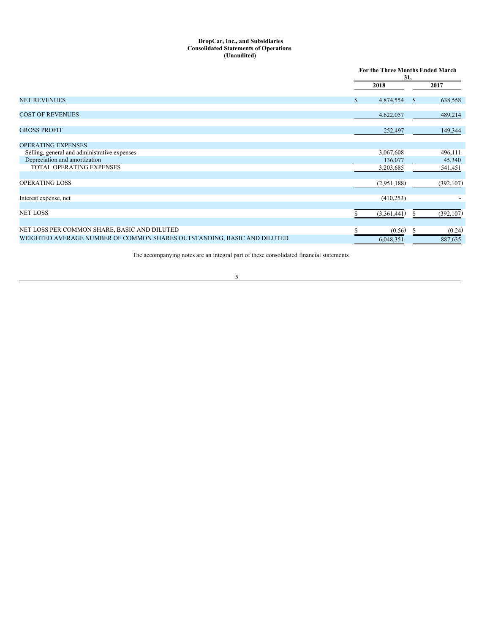### <span id="page-4-0"></span>**DropCar, Inc., and Subsidiaries Consolidated Statements of Operations (Unaudited)**

|                                                                         | For the Three Months Ended March<br>31, |             |              |            |
|-------------------------------------------------------------------------|-----------------------------------------|-------------|--------------|------------|
|                                                                         |                                         | 2018        |              | 2017       |
| <b>NET REVENUES</b>                                                     | $\mathbb{S}$                            | 4,874,554   | <sup>S</sup> | 638,558    |
| <b>COST OF REVENUES</b>                                                 |                                         | 4,622,057   |              | 489,214    |
| <b>GROSS PROFIT</b>                                                     |                                         | 252,497     |              | 149,344    |
| <b>OPERATING EXPENSES</b>                                               |                                         |             |              |            |
| Selling, general and administrative expenses                            |                                         | 3,067,608   |              | 496,111    |
| Depreciation and amortization                                           |                                         | 136,077     |              | 45,340     |
| <b>TOTAL OPERATING EXPENSES</b>                                         |                                         | 3,203,685   |              | 541,451    |
| <b>OPERATING LOSS</b>                                                   |                                         | (2,951,188) |              | (392, 107) |
| Interest expense, net                                                   |                                         | (410, 253)  |              |            |
| <b>NET LOSS</b>                                                         |                                         | (3,361,441) |              | (392, 107) |
| NET LOSS PER COMMON SHARE, BASIC AND DILUTED                            |                                         | (0.56)      | У            | (0.24)     |
| WEIGHTED AVERAGE NUMBER OF COMMON SHARES OUTSTANDING, BASIC AND DILUTED |                                         | 6,048,351   |              | 887,635    |

The accompanying notes are an integral part of these consolidated financial statements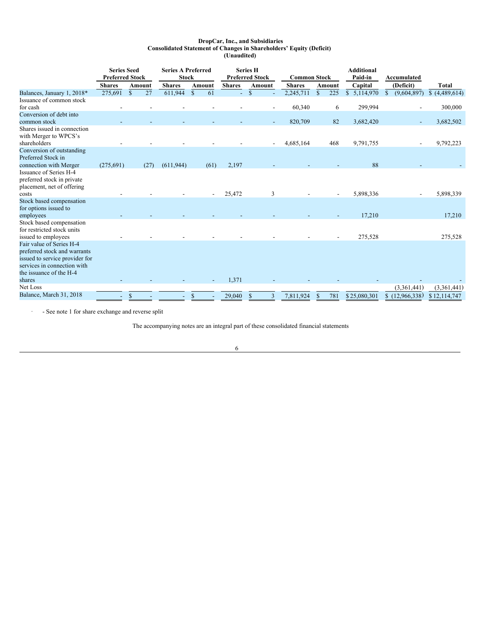### <span id="page-5-0"></span>**DropCar, Inc., and Subsidiaries Consolidated Statement of Changes in Shareholders' Equity (Deficit) (Unaudited)**

|                                                                                                                                                      | <b>Series Seed</b><br><b>Preferred Stock</b> |               |               | <b>Series A Preferred</b><br><b>Stock</b> |              |        | <b>Preferred Stock</b> | <b>Series H</b> |               | <b>Common Stock</b> |    |               |                 | Accumulated                  |               |
|------------------------------------------------------------------------------------------------------------------------------------------------------|----------------------------------------------|---------------|---------------|-------------------------------------------|--------------|--------|------------------------|-----------------|---------------|---------------------|----|---------------|-----------------|------------------------------|---------------|
|                                                                                                                                                      | <b>Shares</b>                                |               | <b>Amount</b> | <b>Shares</b>                             |              | Amount | <b>Shares</b>          |                 | <b>Amount</b> | <b>Shares</b>       |    | <b>Amount</b> | Capital         | (Deficit)                    | <b>Total</b>  |
| Balances, January 1, 2018*                                                                                                                           | 275,691                                      | $\mathcal{S}$ | 27            | 611,944                                   | $\mathbb{S}$ | 61     | ÷.                     | $\mathbf S$     |               | 2,245,711           | S  | 225           | 5,114,970<br>\$ | (9,604,897)<br>$\mathcal{S}$ | \$(4,489,614) |
| Issuance of common stock<br>for cash                                                                                                                 |                                              |               |               |                                           |              |        |                        |                 |               | 60,340              |    | 6             | 299,994         |                              | 300,000       |
| Conversion of debt into                                                                                                                              |                                              |               |               |                                           |              |        |                        |                 |               |                     |    |               |                 |                              |               |
| common stock                                                                                                                                         |                                              |               |               |                                           |              |        |                        |                 |               | 820,709             |    | 82            | 3,682,420       |                              | 3,682,502     |
| Shares issued in connection<br>with Merger to WPCS's<br>shareholders                                                                                 |                                              |               |               |                                           |              |        |                        |                 |               | 4,685,164           |    | 468           | 9,791,755       |                              | 9,792,223     |
| Conversion of outstanding<br>Preferred Stock in                                                                                                      |                                              |               |               |                                           |              |        |                        |                 |               |                     |    |               |                 |                              |               |
| connection with Merger                                                                                                                               | (275,691)                                    |               | (27)          | (611, 944)                                |              | (61)   | 2,197                  |                 |               |                     |    |               | 88              |                              |               |
| Issuance of Series H-4<br>preferred stock in private<br>placement, net of offering                                                                   |                                              |               |               |                                           |              |        |                        |                 |               |                     |    |               |                 |                              |               |
| costs                                                                                                                                                |                                              |               |               |                                           |              |        | 25,472                 |                 | 3             |                     |    |               | 5,898,336       |                              | 5,898,339     |
| Stock based compensation<br>for options issued to                                                                                                    |                                              |               |               |                                           |              |        |                        |                 |               |                     |    |               |                 |                              |               |
| employees                                                                                                                                            |                                              |               |               |                                           |              |        |                        |                 |               |                     |    |               | 17,210          |                              | 17,210        |
| Stock based compensation<br>for restricted stock units<br>issued to employees                                                                        |                                              |               |               |                                           |              |        |                        |                 |               |                     |    |               | 275,528         |                              | 275,528       |
| Fair value of Series H-4<br>preferred stock and warrants<br>issued to service provider for<br>services in connection with<br>the issuance of the H-4 |                                              |               |               |                                           |              |        |                        |                 |               |                     |    |               |                 |                              |               |
| shares                                                                                                                                               |                                              |               |               |                                           |              |        | 1,371                  |                 |               |                     |    |               |                 |                              |               |
| Net Loss                                                                                                                                             |                                              |               |               |                                           |              |        |                        |                 |               |                     |    |               |                 | (3,361,441)                  | (3,361,441)   |
| Balance, March 31, 2018                                                                                                                              |                                              | \$            |               |                                           | \$           |        | 29,040                 | \$              | 3             | 7,811,924           | \$ | 781           | \$25,080,301    | (12,966,338)<br>S.           | \$12,114,747  |

· - See note 1 for share exchange and reverse split

The accompanying notes are an integral part of these consolidated financial statements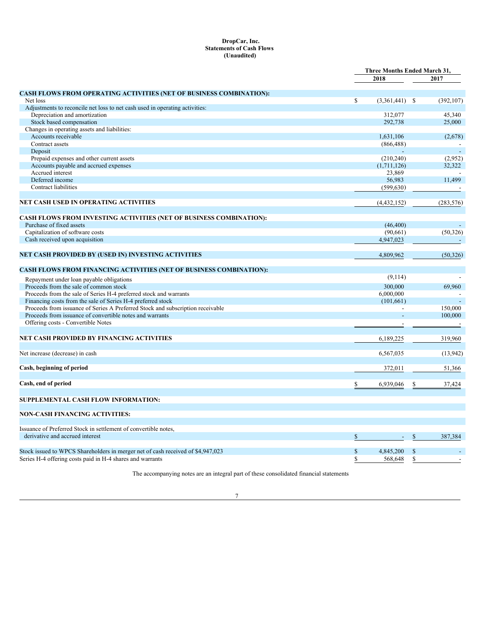## <span id="page-6-0"></span>**DropCar, Inc. Statements of Cash Flows (Unaudited)**

|                                                                                 |               | Three Months Ended March 31, |              |            |
|---------------------------------------------------------------------------------|---------------|------------------------------|--------------|------------|
|                                                                                 |               | 2018                         |              | 2017       |
| <b>CASH FLOWS FROM OPERATING ACTIVITIES (NET OF BUSINESS COMBINATION):</b>      |               |                              |              |            |
| Net loss                                                                        | <sup>\$</sup> | $(3,361,441)$ \$             |              | (392, 107) |
| Adjustments to reconcile net loss to net cash used in operating activities:     |               |                              |              |            |
| Depreciation and amortization                                                   |               | 312,077                      |              | 45,340     |
| Stock based compensation                                                        |               | 292,738                      |              | 25,000     |
| Changes in operating assets and liabilities:                                    |               |                              |              |            |
| Accounts receivable                                                             |               | 1,631,106                    |              | (2,678)    |
| Contract assets                                                                 |               | (866, 488)                   |              |            |
| Deposit                                                                         |               |                              |              |            |
| Prepaid expenses and other current assets                                       |               | (210, 240)                   |              | (2,952)    |
| Accounts payable and accrued expenses                                           |               | (1,711,126)                  |              | 32,322     |
| Accrued interest                                                                |               | 23,869                       |              |            |
| Deferred income                                                                 |               | 56,983                       |              | 11.499     |
| Contract liabilities                                                            |               |                              |              |            |
|                                                                                 |               | (599, 630)                   |              |            |
| NET CASH USED IN OPERATING ACTIVITIES                                           |               | (4, 432, 152)                |              | (283, 576) |
| <b>CASH FLOWS FROM INVESTING ACTIVITIES (NET OF BUSINESS COMBINATION):</b>      |               |                              |              |            |
| Purchase of fixed assets                                                        |               | (46, 400)                    |              |            |
| Capitalization of software costs                                                |               | (90,661)                     |              | (50, 326)  |
| Cash received upon acquisition                                                  |               | 4,947,023                    |              |            |
| NET CASH PROVIDED BY (USED IN) INVESTING ACTIVITIES                             |               | 4,809,962                    |              | (50, 326)  |
|                                                                                 |               |                              |              |            |
| CASH FLOWS FROM FINANCING ACTIVITIES (NET OF BUSINESS COMBINATION):             |               | (9,114)                      |              |            |
| Repayment under loan payable obligations                                        |               |                              |              |            |
| Proceeds from the sale of common stock                                          |               | 300,000                      |              | 69,960     |
| Proceeds from the sale of Series H-4 preferred stock and warrants               |               | 6,000,000                    |              |            |
| Financing costs from the sale of Series H-4 preferred stock                     |               | (101, 661)                   |              |            |
| Proceeds from issuance of Series A Preferred Stock and subscription receivable  |               |                              |              | 150,000    |
| Proceeds from issuance of convertible notes and warrants                        |               |                              |              | 100,000    |
| Offering costs - Convertible Notes                                              |               | $\overline{a}$               |              |            |
| NET CASH PROVIDED BY FINANCING ACTIVITIES                                       |               | 6,189,225                    |              | 319.960    |
| Net increase (decrease) in cash                                                 |               | 6,567,035                    |              | (13,942)   |
|                                                                                 |               |                              |              |            |
| Cash, beginning of period                                                       |               | 372,011                      |              | 51,366     |
| Cash, end of period                                                             | S             | 6,939,046                    | S            | 37,424     |
| SUPPLEMENTAL CASH FLOW INFORMATION:                                             |               |                              |              |            |
|                                                                                 |               |                              |              |            |
| <b>NON-CASH FINANCING ACTIVITIES:</b>                                           |               |                              |              |            |
| Issuance of Preferred Stock in settlement of convertible notes,                 |               |                              |              |            |
| derivative and accrued interest                                                 | $\mathbb{S}$  |                              | $\mathbb{S}$ | 387,384    |
| Stock issued to WPCS Shareholders in merger net of cash received of \$4,947,023 | $\mathbb{S}$  | 4,845,200                    | S            |            |
| Series H-4 offering costs paid in H-4 shares and warrants                       | S             | 568,648                      | \$           |            |
|                                                                                 |               |                              |              |            |

The accompanying notes are an integral part of these consolidated financial statements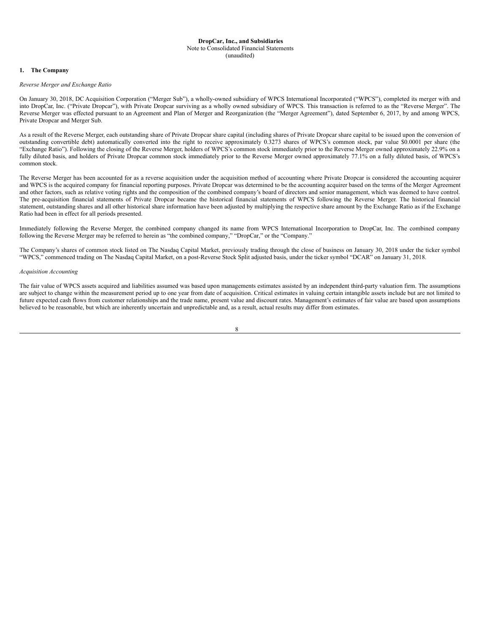#### <span id="page-7-0"></span>**DropCar, Inc., and Subsidiaries** Note to Consolidated Financial Statements (unaudited)

## **1. The Company**

### *Reverse Merger and Exchange Ratio*

On January 30, 2018, DC Acquisition Corporation ("Merger Sub"), a wholly-owned subsidiary of WPCS International Incorporated ("WPCS"), completed its merger with and into DropCar, Inc. ("Private Dropcar"), with Private Dropcar surviving as a wholly owned subsidiary of WPCS. This transaction is referred to as the "Reverse Merger". The Reverse Merger was effected pursuant to an Agreement and Plan of Merger and Reorganization (the "Merger Agreement"), dated September 6, 2017, by and among WPCS, Private Dropcar and Merger Sub.

As a result of the Reverse Merger, each outstanding share of Private Dropcar share capital (including shares of Private Dropcar share capital to be issued upon the conversion of outstanding convertible debt) automatically converted into the right to receive approximately 0.3273 shares of WPCS's common stock, par value \$0.0001 per share (the "Exchange Ratio"). Following the closing of the Reverse Merger, holders of WPCS's common stock immediately prior to the Reverse Merger owned approximately 22.9% on a fully diluted basis, and holders of Private Dropcar common stock immediately prior to the Reverse Merger owned approximately 77.1% on a fully diluted basis, of WPCS's common stock.

The Reverse Merger has been accounted for as a reverse acquisition under the acquisition method of accounting where Private Dropcar is considered the accounting acquirer and WPCS is the acquired company for financial reporting purposes. Private Dropcar was determined to be the accounting acquirer based on the terms of the Merger Agreement and other factors, such as relative voting rights and the composition of the combined company's board of directors and senior management, which was deemed to have control. The pre-acquisition financial statements of Private Dropcar became the historical financial statements of WPCS following the Reverse Merger. The historical financial statement, outstanding shares and all other historical share information have been adjusted by multiplying the respective share amount by the Exchange Ratio as if the Exchange Ratio had been in effect for all periods presented.

Immediately following the Reverse Merger, the combined company changed its name from WPCS International Incorporation to DropCar, Inc. The combined company following the Reverse Merger may be referred to herein as "the combined company," "DropCar," or the "Company."

The Company's shares of common stock listed on The Nasdaq Capital Market, previously trading through the close of business on January 30, 2018 under the ticker symbol "WPCS," commenced trading on The Nasdaq Capital Market, on a post-Reverse Stock Split adjusted basis, under the ticker symbol "DCAR" on January 31, 2018.

#### *Acquisition Accounting*

The fair value of WPCS assets acquired and liabilities assumed was based upon managements estimates assisted by an independent third-party valuation firm. The assumptions are subject to change within the measurement period up to one year from date of acquisition. Critical estimates in valuing certain intangible assets include but are not limited to future expected cash flows from customer relationships and the trade name, present value and discount rates. Management's estimates of fair value are based upon assumptions believed to be reasonable, but which are inherently uncertain and unpredictable and, as a result, actual results may differ from estimates.

| I      |  |
|--------|--|
| I      |  |
| w<br>۹ |  |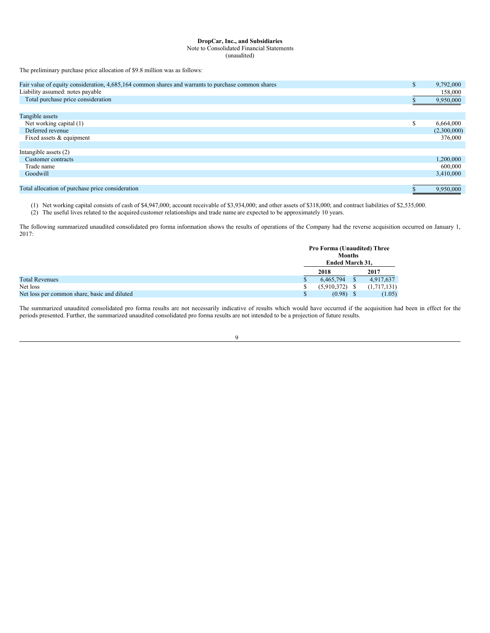Note to Consolidated Financial Statements

(unaudited)

The preliminary purchase price allocation of \$9.8 million was as follows:

| Fair value of equity consideration, 4,685,164 common shares and warrants to purchase common shares | D.     | 9,792,000   |
|----------------------------------------------------------------------------------------------------|--------|-------------|
| Liability assumed: notes payable                                                                   |        | 158,000     |
| Total purchase price consideration                                                                 |        | 9,950,000   |
|                                                                                                    |        |             |
| Tangible assets                                                                                    |        |             |
| Net working capital (1)                                                                            | ¢<br>Ф | 6,664,000   |
| Deferred revenue                                                                                   |        | (2,300,000) |
| Fixed assets & equipment                                                                           |        | 376,000     |
|                                                                                                    |        |             |
| Intangible assets $(2)$                                                                            |        |             |
| Customer contracts                                                                                 |        | 1,200,000   |
| Trade name                                                                                         |        | 600,000     |
| Goodwill                                                                                           |        | 3,410,000   |
|                                                                                                    |        |             |
| Total allocation of purchase price consideration                                                   |        | 9.950.000   |

(1) Net working capital consists of cash of \$4,947,000; account receivable of \$3,934,000; and other assets of \$318,000; and contract liabilities of \$2,535,000.

(2) The useful lives related to the acquired customer relationships and trade name are expected to be approximately 10 years.

The following summarized unaudited consolidated pro forma information shows the results of operations of the Company had the reverse acquisition occurred on January 1, 2017:

|                                              | <b>Pro Forma (Unaudited) Three</b><br><b>Months</b> |             |
|----------------------------------------------|-----------------------------------------------------|-------------|
|                                              | Ended March 31,                                     |             |
|                                              | 2018                                                | 2017        |
| <b>Total Revenues</b>                        | 6.465.794                                           | 4,917,637   |
| Net loss                                     | (5,910,372)                                         | (1,717,131) |
| Net loss per common share, basic and diluted | (0.98)                                              | (1.05)      |

The summarized unaudited consolidated pro forma results are not necessarily indicative of results which would have occurred if the acquisition had been in effect for the periods presented. Further, the summarized unaudited consolidated pro forma results are not intended to be a projection of future results.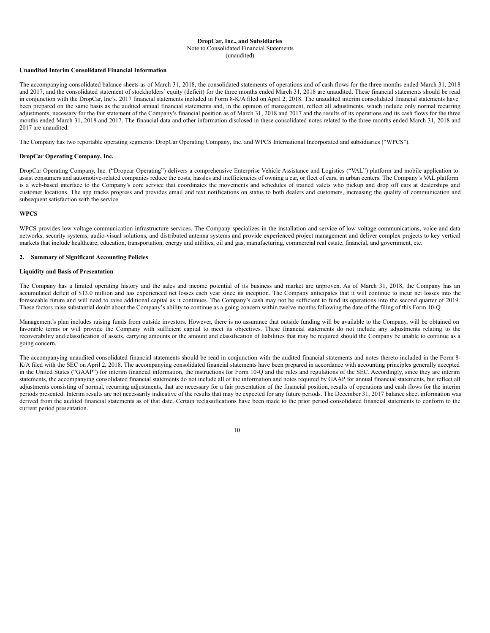#### **DropCar, Inc., and Subsidiaries** Note to Consolidated Financial Statements

# (unaudited)

## **Unaudited Interim Consolidated Financial Information**

The accompanying consolidated balance sheets as of March 31, 2018, the consolidated statements of operations and of cash flows for the three months ended March 31, 2018 and 2017, and the consolidated statement of stockholders' equity (deficit) for the three months ended March 31, 2018 are unaudited. These financial statements should be read in conjunction with the DropCar, Inc's. 2017 financial statements included in Form 8-K/A filed on April 2, 2018. The unaudited interim consolidated financial statements have been prepared on the same basis as the audited annual financial statements and, in the opinion of management, reflect all adjustments, which include only normal recurring adjustments, necessary for the fair statement of the Company's financial position as of March 31, 2018 and 2017 and the results of its operations and its cash flows for the three months ended March 31, 2018 and 2017. The financial data and other information disclosed in these consolidated notes related to the three months ended March 31, 2018 and 2017 are unaudited.

The Company has two reportable operating segments: DropCar Operating Company, Inc. and WPCS International Incorporated and subsidiaries ("WPCS").

## **DropCar Operating Company, Inc.**

DropCar Operating Company, Inc. ("Dropcar Operating") delivers a comprehensive Enterprise Vehicle Assistance and Logistics ("VAL") platform and mobile application to assist consumers and automotive-related companies reduce the costs, hassles and inefficiencies of owning a car, or fleet of cars, in urban centers. The Company's VAL platform is a web-based interface to the Company's core service that coordinates the movements and schedules of trained valets who pickup and drop off cars at dealerships and customer locations. The app tracks progress and provides email and text notifications on status to both dealers and customers, increasing the quality of communication and subsequent satisfaction with the service.

## **WPCS**

WPCS provides low voltage communication infrastructure services. The Company specializes in the installation and service of low voltage communications, voice and data networks, security systems, audio-visual solutions, and distributed antenna systems and provide experienced project management and deliver complex projects to key vertical markets that include healthcare, education, transportation, energy and utilities, oil and gas, manufacturing, commercial real estate, financial, and government, etc.

## **2. Summary of Significant Accounting Policies**

## **Liquidity and Basis of Presentation**

The Company has a limited operating history and the sales and income potential of its business and market are unproven. As of March 31, 2018, the Company has an accumulated deficit of \$13.0 million and has experienced net losses each year since its inception. The Company anticipates that it will continue to incur net losses into the foreseeable future and will need to raise additional capital as it continues. The Company's cash may not be sufficient to fund its operations into the second quarter of 2019. These factors raise substantial doubt about the Company's ability to continue as a going concern within twelve months following the date of the filing of this Form 10-Q.

Management's plan includes raising funds from outside investors. However, there is no assurance that outside funding will be available to the Company, will be obtained on favorable terms or will provide the Company with sufficient capital to meet its objectives. These financial statements do not include any adjustments relating to the recoverability and classification of assets, carrying amounts or the amount and classification of liabilities that may be required should the Company be unable to continue as a going concern.

The accompanying unaudited consolidated financial statements should be read in conjunction with the audited financial statements and notes thereto included in the Form 8- K/A filed with the SEC on April 2, 2018. The accompanying consolidated financial statements have been prepared in accordance with accounting principles generally accepted in the United States ("GAAP") for interim financial information, the instructions for Form 10-Q and the rules and regulations of the SEC. Accordingly, since they are interim statements, the accompanying consolidated financial statements do not include all of the information and notes required by GAAP for annual financial statements, but reflect all adjustments consisting of normal, recurring adjustments, that are necessary for a fair presentation of the financial position, results of operations and cash flows for the interim periods presented. Interim results are not necessarily indicative of the results that may be expected for any future periods. The December 31, 2017 balance sheet information was derived from the audited financial statements as of that date. Certain reclassifications have been made to the prior period consolidated financial statements to conform to the current period presentation.

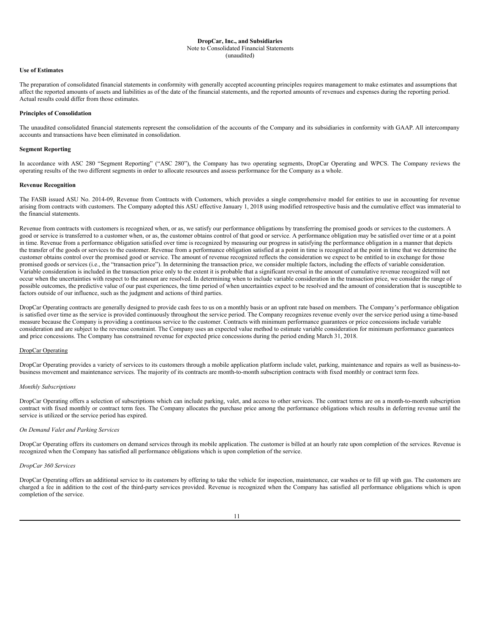#### Note to Consolidated Financial Statements

(unaudited)

### **Use of Estimates**

The preparation of consolidated financial statements in conformity with generally accepted accounting principles requires management to make estimates and assumptions that affect the reported amounts of assets and liabilities as of the date of the financial statements, and the reported amounts of revenues and expenses during the reporting period. Actual results could differ from those estimates.

## **Principles of Consolidation**

The unaudited consolidated financial statements represent the consolidation of the accounts of the Company and its subsidiaries in conformity with GAAP. All intercompany accounts and transactions have been eliminated in consolidation.

#### **Segment Reporting**

In accordance with ASC 280 "Segment Reporting" ("ASC 280"), the Company has two operating segments, DropCar Operating and WPCS. The Company reviews the operating results of the two different segments in order to allocate resources and assess performance for the Company as a whole.

### **Revenue Recognition**

The FASB issued ASU No. 2014-09, Revenue from Contracts with Customers, which provides a single comprehensive model for entities to use in accounting for revenue arising from contracts with customers. The Company adopted this ASU effective January 1, 2018 using modified retrospective basis and the cumulative effect was immaterial to the financial statements.

Revenue from contracts with customers is recognized when, or as, we satisfy our performance obligations by transferring the promised goods or services to the customers. A good or service is transferred to a customer when, or as, the customer obtains control of that good or service. A performance obligation may be satisfied over time or at a point in time. Revenue from a performance obligation satisfied over time is recognized by measuring our progress in satisfying the performance obligation in a manner that depicts the transfer of the goods or services to the customer. Revenue from a performance obligation satisfied at a point in time is recognized at the point in time that we determine the customer obtains control over the promised good or service. The amount of revenue recognized reflects the consideration we expect to be entitled to in exchange for those promised goods or services (i.e., the "transaction price"). In determining the transaction price, we consider multiple factors, including the effects of variable consideration. Variable consideration is included in the transaction price only to the extent it is probable that a significant reversal in the amount of cumulative revenue recognized will not occur when the uncertainties with respect to the amount are resolved. In determining when to include variable consideration in the transaction price, we consider the range of possible outcomes, the predictive value of our past experiences, the time period of when uncertainties expect to be resolved and the amount of consideration that is susceptible to factors outside of our influence, such as the judgment and actions of third parties.

DropCar Operating contracts are generally designed to provide cash fees to us on a monthly basis or an upfront rate based on members. The Company's performance obligation is satisfied over time as the service is provided continuously throughout the service period. The Company recognizes revenue evenly over the service period using a time-based measure because the Company is providing a continuous service to the customer. Contracts with minimum performance guarantees or price concessions include variable consideration and are subject to the revenue constraint. The Company uses an expected value method to estimate variable consideration for minimum performance guarantees and price concessions. The Company has constrained revenue for expected price concessions during the period ending March 31, 2018.

## DropCar Operating

DropCar Operating provides a variety of services to its customers through a mobile application platform include valet, parking, maintenance and repairs as well as business-tobusiness movement and maintenance services. The majority of its contracts are month-to-month subscription contracts with fixed monthly or contract term fees.

## *Monthly Subscriptions*

DropCar Operating offers a selection of subscriptions which can include parking, valet, and access to other services. The contract terms are on a month-to-month subscription contract with fixed monthly or contract term fees. The Company allocates the purchase price among the performance obligations which results in deferring revenue until the service is utilized or the service period has expired.

#### *On Demand Valet and Parking Services*

DropCar Operating offers its customers on demand services through its mobile application. The customer is billed at an hourly rate upon completion of the services. Revenue is recognized when the Company has satisfied all performance obligations which is upon completion of the service.

#### *DropCar 360 Services*

DropCar Operating offers an additional service to its customers by offering to take the vehicle for inspection, maintenance, car washes or to fill up with gas. The customers are charged a fee in addition to the cost of the third-party services provided. Revenue is recognized when the Company has satisfied all performance obligations which is upon completion of the service.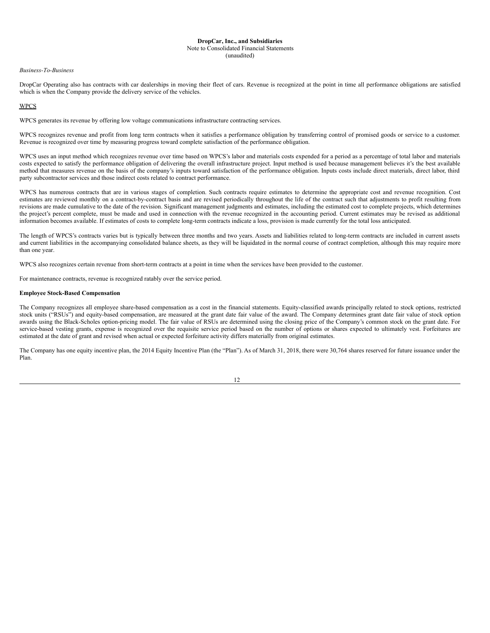#### **DropCar, Inc., and Subsidiaries** Note to Consolidated Financial Statements (unaudited)

#### *Business-To-Business*

DropCar Operating also has contracts with car dealerships in moving their fleet of cars. Revenue is recognized at the point in time all performance obligations are satisfied which is when the Company provide the delivery service of the vehicles.

## WPCS

WPCS generates its revenue by offering low voltage communications infrastructure contracting services.

WPCS recognizes revenue and profit from long term contracts when it satisfies a performance obligation by transferring control of promised goods or service to a customer. Revenue is recognized over time by measuring progress toward complete satisfaction of the performance obligation.

WPCS uses an input method which recognizes revenue over time based on WPCS's labor and materials costs expended for a period as a percentage of total labor and materials costs expected to satisfy the performance obligation of delivering the overall infrastructure project. Input method is used because management believes it's the best available method that measures revenue on the basis of the company's inputs toward satisfaction of the performance obligation. Inputs costs include direct materials, direct labor, third party subcontractor services and those indirect costs related to contract performance.

WPCS has numerous contracts that are in various stages of completion. Such contracts require estimates to determine the appropriate cost and revenue recognition. Cost estimates are reviewed monthly on a contract-by-contract basis and are revised periodically throughout the life of the contract such that adjustments to profit resulting from revisions are made cumulative to the date of the revision. Significant management judgments and estimates, including the estimated cost to complete projects, which determines the project's percent complete, must be made and used in connection with the revenue recognized in the accounting period. Current estimates may be revised as additional information becomes available. If estimates of costs to complete long-term contracts indicate a loss, provision is made currently for the total loss anticipated.

The length of WPCS's contracts varies but is typically between three months and two years. Assets and liabilities related to long-term contracts are included in current assets and current liabilities in the accompanying consolidated balance sheets, as they will be liquidated in the normal course of contract completion, although this may require more than one year.

WPCS also recognizes certain revenue from short-term contracts at a point in time when the services have been provided to the customer.

For maintenance contracts, revenue is recognized ratably over the service period.

## **Employee Stock-Based Compensation**

The Company recognizes all employee share-based compensation as a cost in the financial statements. Equity-classified awards principally related to stock options, restricted stock units ("RSUs") and equity-based compensation, are measured at the grant date fair value of the award. The Company determines grant date fair value of stock option awards using the Black-Scholes option-pricing model. The fair value of RSUs are determined using the closing price of the Company's common stock on the grant date. For service-based vesting grants, expense is recognized over the requisite service period based on the number of options or shares expected to ultimately vest. Forfeitures are estimated at the date of grant and revised when actual or expected forfeiture activity differs materially from original estimates.

The Company has one equity incentive plan, the 2014 Equity Incentive Plan (the "Plan"). As of March 31, 2018, there were 30,764 shares reserved for future issuance under the Plan.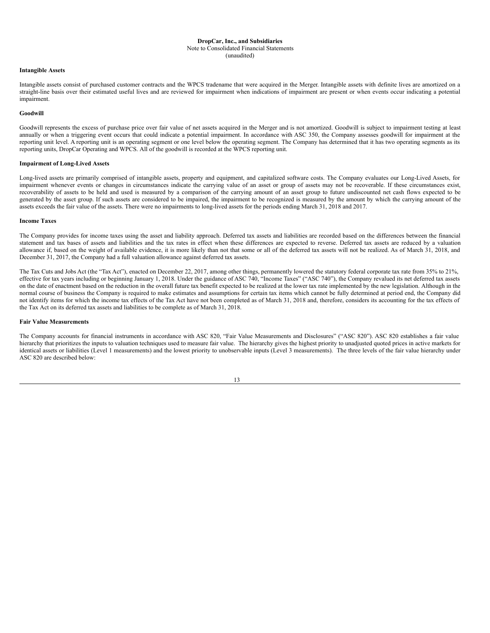#### Note to Consolidated Financial Statements

(unaudited)

## **Intangible Assets**

Intangible assets consist of purchased customer contracts and the WPCS tradename that were acquired in the Merger. Intangible assets with definite lives are amortized on a straight-line basis over their estimated useful lives and are reviewed for impairment when indications of impairment are present or when events occur indicating a potential impairment.

#### **Goodwill**

Goodwill represents the excess of purchase price over fair value of net assets acquired in the Merger and is not amortized. Goodwill is subject to impairment testing at least annually or when a triggering event occurs that could indicate a potential impairment. In accordance with ASC 350, the Company assesses goodwill for impairment at the reporting unit level. A reporting unit is an operating segment or one level below the operating segment. The Company has determined that it has two operating segments as its reporting units, DropCar Operating and WPCS. All of the goodwill is recorded at the WPCS reporting unit.

#### **Impairment of Long-Lived Assets**

Long-lived assets are primarily comprised of intangible assets, property and equipment, and capitalized software costs. The Company evaluates our Long-Lived Assets, for impairment whenever events or changes in circumstances indicate the carrying value of an asset or group of assets may not be recoverable. If these circumstances exist, recoverability of assets to be held and used is measured by a comparison of the carrying amount of an asset group to future undiscounted net cash flows expected to be generated by the asset group. If such assets are considered to be impaired, the impairment to be recognized is measured by the amount by which the carrying amount of the assets exceeds the fair value of the assets. There were no impairments to long-lived assets for the periods ending March 31, 2018 and 2017.

#### **Income Taxes**

The Company provides for income taxes using the asset and liability approach. Deferred tax assets and liabilities are recorded based on the differences between the financial statement and tax bases of assets and liabilities and the tax rates in effect when these differences are expected to reverse. Deferred tax assets are reduced by a valuation allowance if, based on the weight of available evidence, it is more likely than not that some or all of the deferred tax assets will not be realized. As of March 31, 2018, and allowance if, based on the weight of available December 31, 2017, the Company had a full valuation allowance against deferred tax assets.

The Tax Cuts and Jobs Act (the "Tax Act"), enacted on December 22, 2017, among other things, permanently lowered the statutory federal corporate tax rate from 35% to 21%, effective for tax years including or beginning January 1, 2018. Under the guidance of ASC 740, "Income Taxes" ("ASC 740"), the Company revalued its net deferred tax assets on the date of enactment based on the reduction in the overall future tax benefit expected to be realized at the lower tax rate implemented by the new legislation. Although in the normal course of business the Company is required to make estimates and assumptions for certain tax items which cannot be fully determined at period end, the Company did not identify items for which the income tax effects of the Tax Act have not been completed as of March 31, 2018 and, therefore, considers its accounting for the tax effects of the Tax Act on its deferred tax assets and liabilities to be complete as of March 31, 2018.

#### **Fair Value Measurements**

The Company accounts for financial instruments in accordance with ASC 820, "Fair Value Measurements and Disclosures" ("ASC 820"). ASC 820 establishes a fair value hierarchy that prioritizes the inputs to valuation techniques used to measure fair value. The hierarchy gives the highest priority to unadjusted quoted prices in active markets for identical assets or liabilities (Level 1 measurements) and the lowest priority to unobservable inputs (Level 3 measurements). The three levels of the fair value hierarchy under ASC 820 are described below:

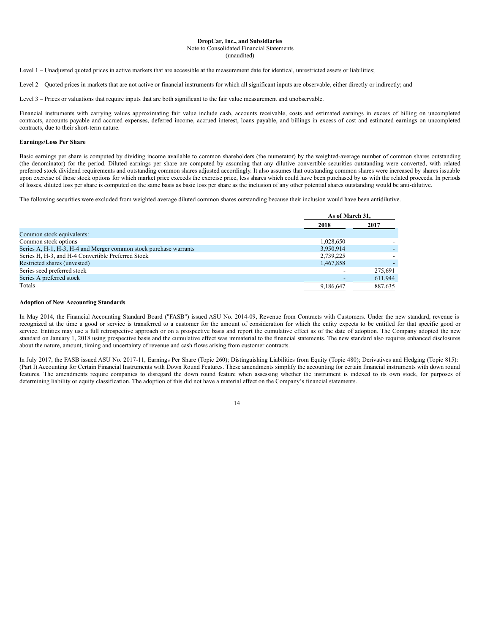#### Note to Consolidated Financial Statements

(unaudited)

Level 1 – Unadjusted quoted prices in active markets that are accessible at the measurement date for identical, unrestricted assets or liabilities;

Level 2 – Quoted prices in markets that are not active or financial instruments for which all significant inputs are observable, either directly or indirectly; and

Level 3 – Prices or valuations that require inputs that are both significant to the fair value measurement and unobservable.

Financial instruments with carrying values approximating fair value include cash, accounts receivable, costs and estimated earnings in excess of billing on uncompleted contracts, accounts payable and accrued expenses, deferred income, accrued interest, loans payable, and billings in excess of cost and estimated earnings on uncompleted contracts, due to their short-term nature.

## **Earnings/Loss Per Share**

Basic earnings per share is computed by dividing income available to common shareholders (the numerator) by the weighted-average number of common shares outstanding (the denominator) for the period. Diluted earnings per share are computed by assuming that any dilutive convertible securities outstanding were converted, with related preferred stock dividend requirements and outstanding common shares adjusted accordingly. It also assumes that outstanding common shares were increased by shares issuable upon exercise of those stock options for which market price exceeds the exercise price, less shares which could have been purchased by us with the related proceeds. In periods of losses, diluted loss per share is computed on the same basis as basic loss per share as the inclusion of any other potential shares outstanding would be anti-dilutive.

The following securities were excluded from weighted average diluted common shares outstanding because their inclusion would have been antidilutive.

|                                                                   | As of March 31. |         |
|-------------------------------------------------------------------|-----------------|---------|
|                                                                   | 2018            | 2017    |
| Common stock equivalents:                                         |                 |         |
| Common stock options                                              | 1,028,650       |         |
| Series A, H-1, H-3, H-4 and Merger common stock purchase warrants | 3,950,914       |         |
| Series H, H-3, and H-4 Convertible Preferred Stock                | 2,739,225       |         |
| Restricted shares (unvested)                                      | 1.467.858       |         |
| Series seed preferred stock                                       |                 | 275.691 |
| Series A preferred stock                                          |                 | 611,944 |
| Totals                                                            | 9.186.647       | 887.635 |

#### **Adoption of New Accounting Standards**

In May 2014, the Financial Accounting Standard Board ("FASB") issued ASU No. 2014-09, Revenue from Contracts with Customers. Under the new standard, revenue is recognized at the time a good or service is transferred to a customer for the amount of consideration for which the entity expects to be entitled for that specific good or service. Entities may use a full retrospective approach or on a prospective basis and report the cumulative effect as of the date of adoption. The Company adopted the new standard on January 1, 2018 using prospective basis and the cumulative effect was immaterial to the financial statements. The new standard also requires enhanced disclosures about the nature, amount, timing and uncertainty of revenue and cash flows arising from customer contracts.

In July 2017, the FASB issued ASU No. 2017-11, Earnings Per Share (Topic 260); Distinguishing Liabilities from Equity (Topic 480); Derivatives and Hedging (Topic 815): (Part I) Accounting for Certain Financial Instruments with Down Round Features. These amendments simplify the accounting for certain financial instruments with down round features. The amendments require companies to disregard the down round feature when assessing whether the instrument is indexed to its own stock, for purposes of determining liability or equity classification. The adoption of this did not have a material effect on the Company's financial statements.

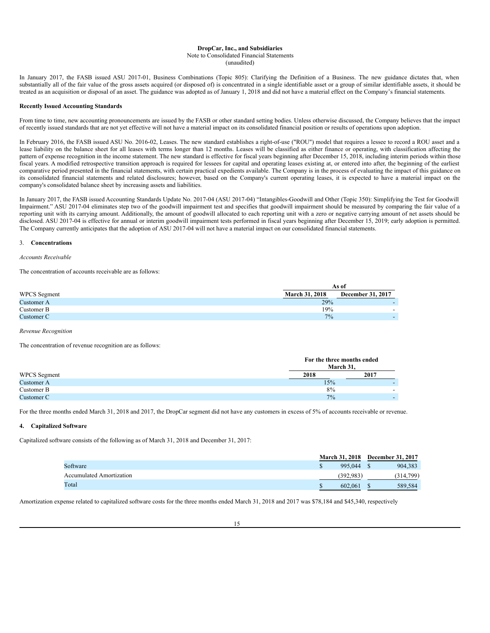# **DropCar, Inc., and Subsidiaries** Note to Consolidated Financial Statements

(unaudited)

In January 2017, the FASB issued ASU 2017-01, Business Combinations (Topic 805): Clarifying the Definition of a Business. The new guidance dictates that, when substantially all of the fair value of the gross assets acquired (or disposed of) is concentrated in a single identifiable asset or a group of similar identifiable assets, it should be treated as an acquisition or disposal of an asset. The guidance was adopted as of January 1, 2018 and did not have a material effect on the Company's financial statements.

## **Recently Issued Accounting Standards**

From time to time, new accounting pronouncements are issued by the FASB or other standard setting bodies. Unless otherwise discussed, the Company believes that the impact of recently issued standards that are not yet effective will not have a material impact on its consolidated financial position or results of operations upon adoption.

In February 2016, the FASB issued ASU No. 2016-02, Leases. The new standard establishes a right-of-use ("ROU") model that requires a lessee to record a ROU asset and a lease liability on the balance sheet for all leases with terms longer than 12 months. Leases will be classified as either finance or operating, with classification affecting the pattern of expense recognition in the income statement. The new standard is effective for fiscal years beginning after December 15, 2018, including interim periods within those fiscal years. A modified retrospective transition approach is required for lessees for capital and operating leases existing at, or entered into after, the beginning of the earliest comparative period presented in the financial statements, with certain practical expedients available. The Company is in the process of evaluating the impact of this guidance on its consolidated financial statements and related disclosures; however, based on the Company's current operating leases, it is expected to have a material impact on the company's consolidated balance sheet by increasing assets and liabilities.

In January 2017, the FASB issued Accounting Standards Update No. 2017-04 (ASU 2017-04) "Intangibles-Goodwill and Other (Topic 350): Simplifying the Test for Goodwill Impairment." ASU 2017-04 eliminates step two of the goodwill impairment test and specifies that goodwill impairment should be measured by comparing the fair value of a reporting unit with its carrying amount. Additionally, the amount of goodwill allocated to each reporting unit with a zero or negative carrying amount of net assets should be disclosed. ASU 2017-04 is effective for annual or interim goodwill impairment tests performed in fiscal years beginning after December 15, 2019; early adoption is permitted. The Company currently anticipates that the adoption of ASU 2017-04 will not have a material impact on our consolidated financial statements.

## 3. **Concentrations**

*Accounts Receivable*

The concentration of accounts receivable are as follows:

|                     | As of                 |                          |  |  |  |  |  |
|---------------------|-----------------------|--------------------------|--|--|--|--|--|
| <b>WPCS</b> Segment | <b>March 31, 2018</b> | December 31, 2017        |  |  |  |  |  |
| Customer A          | 29%                   | -                        |  |  |  |  |  |
| Customer B          | 19%                   | $\overline{\phantom{a}}$ |  |  |  |  |  |
| Customer C          | $7\%$                 | $\overline{\phantom{0}}$ |  |  |  |  |  |

*Revenue Recognition*

The concentration of revenue recognition are as follows:

|                     | For the three months ended<br>March 31. |      |
|---------------------|-----------------------------------------|------|
| <b>WPCS</b> Segment | 2018                                    | 2017 |
| Customer A          | 15%                                     |      |
| Customer B          | 8%                                      | -    |
| Customer C          | 7%                                      |      |

For the three months ended March 31, 2018 and 2017, the DropCar segment did not have any customers in excess of 5% of accounts receivable or revenue.

## **4. Capitalized Software**

Capitalized software consists of the following as of March 31, 2018 and December 31, 2017:

|                                 | <b>March 31, 2018</b> | <b>December 31, 2017</b> |
|---------------------------------|-----------------------|--------------------------|
| Software                        | 995.044               | 904.383                  |
| <b>Accumulated Amortization</b> | (392.983)             | (314, 799)               |
| Total                           | 602.061               | 589.584                  |

Amortization expense related to capitalized software costs for the three months ended March 31, 2018 and 2017 was \$78,184 and \$45,340, respectively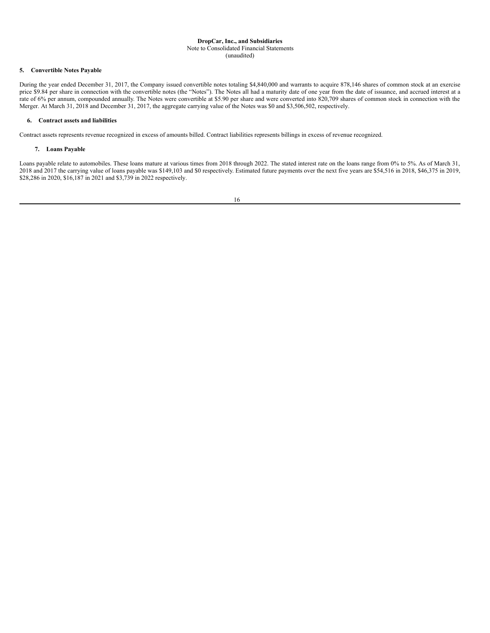## Note to Consolidated Financial Statements

## (unaudited)

## **5. Convertible Notes Payable**

During the year ended December 31, 2017, the Company issued convertible notes totaling \$4,840,000 and warrants to acquire 878,146 shares of common stock at an exercise price \$9.84 per share in connection with the convertible notes (the "Notes"). The Notes all had a maturity date of one year from the date of issuance, and accrued interest at a rate of 6% per annum, compounded annually. The Notes were convertible at \$5.90 per share and were converted into 820,709 shares of common stock in connection with the Merger. At March 31, 2018 and December 31, 2017, the aggregate carrying value of the Notes was \$0 and \$3,506,502, respectively.

## **6. Contract assets and liabilities**

Contract assets represents revenue recognized in excess of amounts billed. Contract liabilities represents billings in excess of revenue recognized.

## **7. Loans Payable**

Loans payable relate to automobiles. These loans mature at various times from 2018 through 2022. The stated interest rate on the loans range from 0% to 5%. As of March 31, 2018 and 2017 the carrying value of loans payable was \$149,103 and \$0 respectively. Estimated future payments over the next five years are \$54,516 in 2018, \$46,375 in 2019, \$28,286 in 2020, \$16,187 in 2021 and \$3,739 in 2022 respectively.

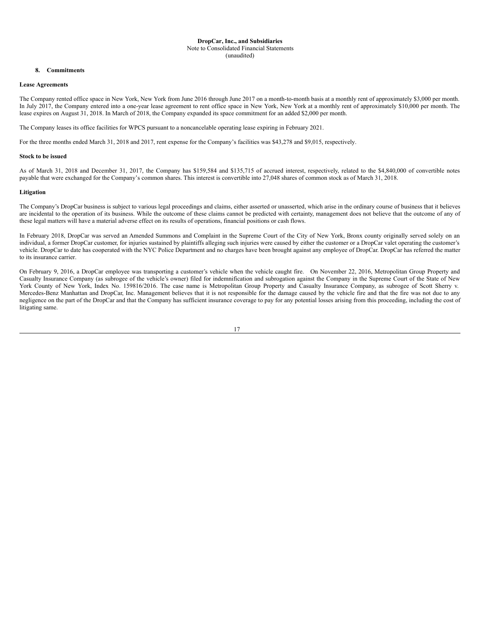#### **DropCar, Inc., and Subsidiaries** Note to Consolidated Financial Statements (unaudited)

## **8. Commitments**

## **Lease Agreements**

The Company rented office space in New York, New York from June 2016 through June 2017 on a month-to-month basis at a monthly rent of approximately \$3,000 per month. In July 2017, the Company entered into a one-year lease agreement to rent office space in New York, New York at a monthly rent of approximately \$10,000 per month. The lease expires on August 31, 2018. In March of 2018, the Company expanded its space commitment for an added \$2,000 per month.

The Company leases its office facilities for WPCS pursuant to a noncancelable operating lease expiring in February 2021.

For the three months ended March 31, 2018 and 2017, rent expense for the Company's facilities was \$43,278 and \$9,015, respectively.

#### **Stock to be issued**

As of March 31, 2018 and December 31, 2017, the Company has \$159,584 and \$135,715 of accrued interest, respectively, related to the \$4,840,000 of convertible notes payable that were exchanged for the Company's common shares. This interest is convertible into 27,048 shares of common stock as of March 31, 2018.

### **Litigation**

The Company's DropCar business is subject to various legal proceedings and claims, either asserted or unasserted, which arise in the ordinary course of business that it believes are incidental to the operation of its business. While the outcome of these claims cannot be predicted with certainty, management does not believe that the outcome of any of these legal matters will have a material adverse effect on its results of operations, financial positions or cash flows.

In February 2018, DropCar was served an Amended Summons and Complaint in the Supreme Court of the City of New York, Bronx county originally served solely on an individual, a former DropCar customer, for injuries sustained by plaintiffs alleging such injuries were caused by either the customer or a DropCar valet operating the customer's vehicle. DropCar to date has cooperated with the NYC Police Department and no charges have been brought against any employee of DropCar. DropCar has referred the matter to its insurance carrier.

On February 9, 2016, a DropCar employee was transporting a customer's vehicle when the vehicle caught fire. On November 22, 2016, Metropolitan Group Property and Casualty Insurance Company (as subrogee of the vehicle's owner) filed for indemnification and subrogation against the Company in the Supreme Court of the State of New York County of New York, Index No. 159816/2016. The case name is Metropolitan Group Property and Casualty Insurance Company, as subrogee of Scott Sherry v. Mercedes-Benz Manhattan and DropCar, Inc. Management believes that it is not responsible for the damage caused by the vehicle fire and that the fire was not due to any negligence on the part of the DropCar and that the Company has sufficient insurance coverage to pay for any potential losses arising from this proceeding, including the cost of litigating same.

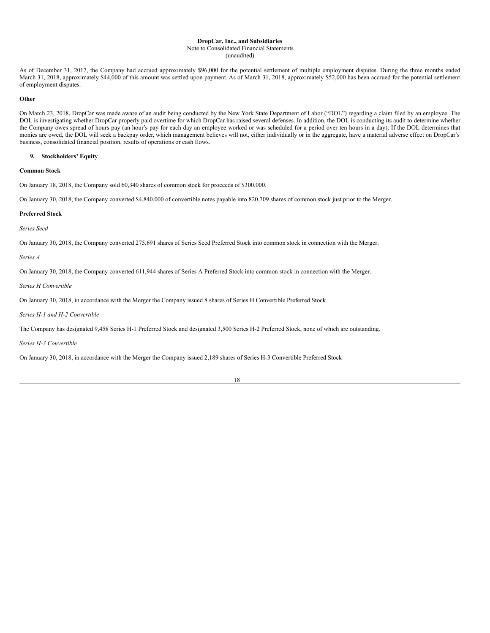## Note to Consolidated Financial Statements

(unaudited)

As of December 31, 2017, the Company had accrued approximately \$96,000 for the potential settlement of multiple employment disputes. During the three months ended March 31, 2018, approximately \$44,000 of this amount was settled upon payment. As of March 31, 2018, approximately \$52,000 has been accrued for the potential settlement of employment disputes.

## **Other**

On March 23, 2018, DropCar was made aware of an audit being conducted by the New York State Department of Labor ("DOL") regarding a claim filed by an employee. The DOL is investigating whether DropCar properly paid overtime for which DropCar has raised several defenses. In addition, the DOL is conducting its audit to determine whether the Company owes spread of hours pay (an hour's pay for each day an employee worked or was scheduled for a period over ten hours in a day). If the DOL determines that monies are owed, the DOL will seek a backpay order, which management believes will not, either individually or in the aggregate, have a material adverse effect on DropCar's business, consolidated financial position, results of operations or cash flows.

## **9. Stockholders' Equity**

## **Common Stock**

On January 18, 2018, the Company sold 60,340 shares of common stock for proceeds of \$300,000.

On January 30, 2018, the Company converted \$4,840,000 of convertible notes payable into 820,709 shares of common stock just prior to the Merger.

### **Preferred Stock**

*Series Seed*

On January 30, 2018, the Company converted 275,691 shares of Series Seed Preferred Stock into common stock in connection with the Merger.

*Series A*

On January 30, 2018, the Company converted 611,944 shares of Series A Preferred Stock into common stock in connection with the Merger.

*Series H Convertible*

On January 30, 2018, in accordance with the Merger the Company issued 8 shares of Series H Convertible Preferred Stock

*Series H-1 and H-2 Convertible*

The Company has designated 9,458 Series H-1 Preferred Stock and designated 3,500 Series H-2 Preferred Stock, none of which are outstanding.

*Series H-3 Convertible*

On January 30, 2018, in accordance with the Merger the Company issued 2,189 shares of Series H-3 Convertible Preferred Stock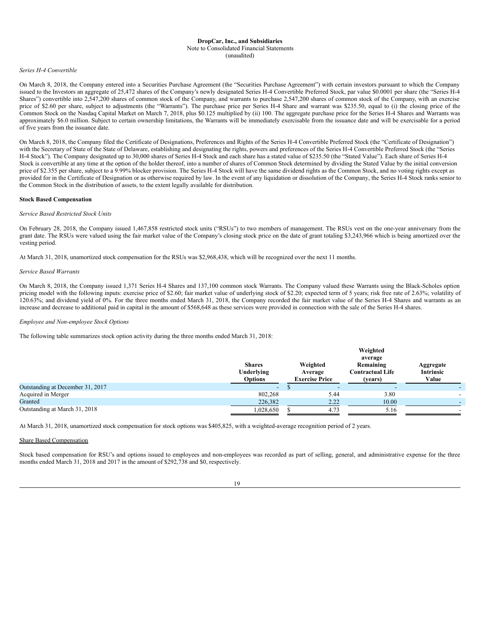## Note to Consolidated Financial Statements

#### (unaudited)

## *Series H-4 Convertible*

On March 8, 2018, the Company entered into a Securities Purchase Agreement (the "Securities Purchase Agreement") with certain investors pursuant to which the Company issued to the Investors an aggregate of 25,472 shares of the Company's newly designated Series H-4 Convertible Preferred Stock, par value \$0.0001 per share (the "Series H-4 Shares") convertible into 2,547,200 shares of common stock of the Company, and warrants to purchase 2,547,200 shares of common stock of the Company, with an exercise price of \$2.60 per share, subject to adjustments (the "Warrants"). The purchase price per Series H-4 Share and warrant was \$235.50, equal to (i) the closing price of the Common Stock on the Nasdaq Capital Market on March 7, 2018, plus \$0.125 multiplied by (ii) 100. The aggregate purchase price for the Series H-4 Shares and Warrants was approximately \$6.0 million. Subject to certain ownership limitations, the Warrants will be immediately exercisable from the issuance date and will be exercisable for a period of five years from the issuance date.

On March 8, 2018, the Company filed the Certificate of Designations, Preferences and Rights of the Series H-4 Convertible Preferred Stock (the "Certificate of Designation") with the Secretary of State of the State of Delaware, establishing and designating the rights, powers and preferences of the Series H-4 Convertible Preferred Stock (the "Series H-4 Stock"). The Company designated up to 30,000 shares of Series H-4 Stock and each share has a stated value of \$235.50 (the "Stated Value"). Each share of Series H-4 Stock is convertible at any time at the option of the holder thereof, into a number of shares of Common Stock determined by dividing the Stated Value by the initial conversion price of \$2.355 per share, subject to a 9.99% blocker provision. The Series H-4 Stock will have the same dividend rights as the Common Stock, and no voting rights except as provided for in the Certificate of Designation or as otherwise required by law. In the event of any liquidation or dissolution of the Company, the Series H-4 Stock ranks senior to the Common Stock in the distribution of assets, to the extent legally available for distribution.

### **Stock Based Compensation**

### *Service Based Restricted Stock Units*

On February 28, 2018, the Company issued 1,467,858 restricted stock units ("RSUs") to two members of management. The RSUs vest on the one-year anniversary from the grant date. The RSUs were valued using the fair market value of the Company's closing stock price on the date of grant totaling \$3,243,966 which is being amortized over the vesting period.

At March 31, 2018, unamortized stock compensation for the RSUs was \$2,968,438, which will be recognized over the next 11 months.

### *Service Based Warrants*

On March 8, 2018, the Company issued 1,371 Series H-4 Shares and 137,100 common stock Warrants. The Company valued these Warrants using the Black-Scholes option pricing model with the following inputs: exercise price of \$2.60; fair market value of underlying stock of \$2.20; expected term of 5 years; risk free rate of 2.63%; volatility of 120.63%; and dividend yield of 0%. For the three months ended March 31, 2018, the Company recorded the fair market value of the Series H-4 Shares and warrants as an increase and decrease to additional paid in capital in the amount of \$568,648 as these services were provided in connection with the sale of the Series H-4 shares.

#### *Employee and Non-employee Stock Options*

The following table summarizes stock option activity during the three months ended March 31, 2018:

|                                  |                                               |                     |                       | Weighted                                                   |                                        |
|----------------------------------|-----------------------------------------------|---------------------|-----------------------|------------------------------------------------------------|----------------------------------------|
|                                  | <b>Shares</b><br>Underlying<br><b>Options</b> | Weighted<br>Average | <b>Exercise Price</b> | average<br>Remaining<br><b>Contractual Life</b><br>(vears) | Aggregate<br><b>Intrinsic</b><br>Value |
| Outstanding at December 31, 2017 | $\overline{\phantom{a}}$                      |                     |                       |                                                            |                                        |
| Acquired in Merger               | 802.268                                       |                     | 5.44                  | 3.80                                                       |                                        |
| Granted                          | 226,382                                       |                     | 2.22                  | 10.00                                                      |                                        |
| Outstanding at March 31, 2018    | 1,028,650                                     |                     | 4.73                  | 5.16                                                       |                                        |

At March 31, 2018, unamortized stock compensation for stock options was \$405,825, with a weighted-average recognition period of 2 years.

## Share Based Compensation

Stock based compensation for RSU's and options issued to employees and non-employees was recorded as part of selling, general, and administrative expense for the three months ended March 31, 2018 and 2017 in the amount of \$292,738 and \$0, respectively.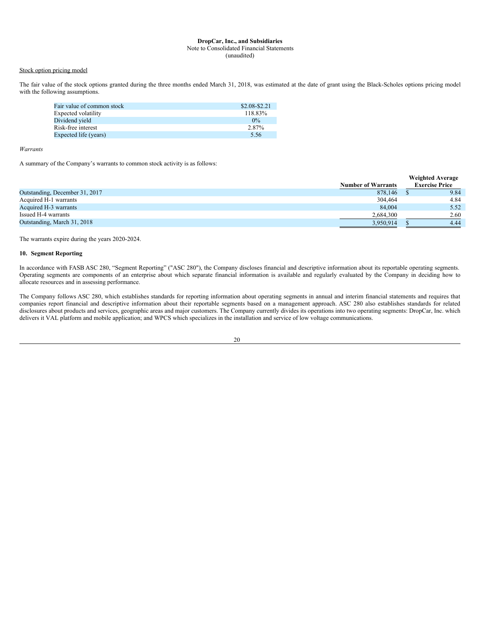### Note to Consolidated Financial Statements

(unaudited)

## Stock option pricing model

The fair value of the stock options granted during the three months ended March 31, 2018, was estimated at the date of grant using the Black-Scholes options pricing model with the following assumptions.

| Fair value of common stock | \$2.08-\$2.21 |
|----------------------------|---------------|
| Expected volatility        | 118.83%       |
| Dividend yield             | $0\%$         |
| Risk-free interest         | 2.87%         |
| Expected life (years)      | 5.56          |

#### *Warrants*

A summary of the Company's warrants to common stock activity is as follows:

|                                |                           | <b>Weighted Average</b> |
|--------------------------------|---------------------------|-------------------------|
|                                | <b>Number of Warrants</b> | <b>Exercise Price</b>   |
| Outstanding, December 31, 2017 | 878,146                   | 9.84                    |
| Acquired H-1 warrants          | 304,464                   | 4.84                    |
| Acquired H-3 warrants          | 84,004                    | 5.52                    |
| Issued H-4 warrants            | 2,684,300                 | 2.60                    |
| Outstanding, March 31, 2018    | 3,950,914                 | 4.44                    |

The warrants expire during the years 2020-2024.

## **10. Segment Reporting**

In accordance with FASB ASC 280, "Segment Reporting" ("ASC 280"), the Company discloses financial and descriptive information about its reportable operating segments. Operating segments are components of an enterprise about which separate financial information is available and regularly evaluated by the Company in deciding how to allocate resources and in assessing performance.

The Company follows ASC 280, which establishes standards for reporting information about operating segments in annual and interim financial statements and requires that companies report financial and descriptive information about their reportable segments based on a management approach. ASC 280 also establishes standards for related disclosures about products and services, geographic areas and major customers. The Company currently divides its operations into two operating segments: DropCar, Inc. which delivers it VAL platform and mobile application; and WPCS which specializes in the installation and service of low voltage communications.

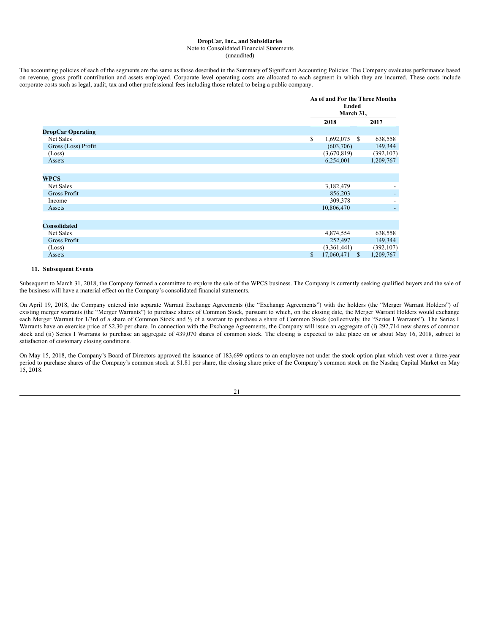## Note to Consolidated Financial Statements

(unaudited)

The accounting policies of each of the segments are the same as those described in the Summary of Significant Accounting Policies. The Company evaluates performance based on revenue, gross profit contribution and assets employed. Corporate level operating costs are allocated to each segment in which they are incurred. These costs include corporate costs such as legal, audit, tax and other professional fees including those related to being a public company.

|                          | <b>Ended</b><br>March 31.         | As of and For the Three Months |  |  |
|--------------------------|-----------------------------------|--------------------------------|--|--|
|                          | 2018                              | 2017                           |  |  |
| <b>DropCar Operating</b> |                                   |                                |  |  |
| Net Sales                | \$<br>$1,692,075$ \$              | 638,558                        |  |  |
| Gross (Loss) Profit      | (603,706)                         | 149,344                        |  |  |
| (Loss)                   | (3,670,819)                       | (392, 107)                     |  |  |
| Assets                   | 6,254,001                         | 1,209,767                      |  |  |
|                          |                                   |                                |  |  |
| <b>WPCS</b>              |                                   |                                |  |  |
| Net Sales                | 3,182,479                         |                                |  |  |
| <b>Gross Profit</b>      | 856,203                           |                                |  |  |
| Income                   | 309,378                           |                                |  |  |
| Assets                   | 10,806,470                        |                                |  |  |
|                          |                                   |                                |  |  |
| <b>Consolidated</b>      |                                   |                                |  |  |
| Net Sales                | 4,874,554                         | 638,558                        |  |  |
| Gross Profit             | 252,497                           | 149,344                        |  |  |
| (Loss)                   | (3,361,441)                       | (392, 107)                     |  |  |
| Assets                   | \$<br>17,060,471<br><sup>\$</sup> | 1,209,767                      |  |  |

### **11. Subsequent Events**

Subsequent to March 31, 2018, the Company formed a committee to explore the sale of the WPCS business. The Company is currently seeking qualified buyers and the sale of the business will have a material effect on the Company's consolidated financial statements.

On April 19, 2018, the Company entered into separate Warrant Exchange Agreements (the "Exchange Agreements") with the holders (the "Merger Warrant Holders") of existing merger warrants (the "Merger Warrants") to purchase shares of Common Stock, pursuant to which, on the closing date, the Merger Warrant Holders would exchange each Merger Warrant for 1/3rd of a share of Common Stock and 1/2 of a warrant to purchase a share of Common Stock (collectively, the "Series I Warrants"). The Series I Warrants have an exercise price of \$2.30 per share. In connection with the Exchange Agreements, the Company will issue an aggregate of (i) 292,714 new shares of common stock and (ii) Series I Warrants to purchase an aggregate of 439,070 shares of common stock. The closing is expected to take place on or about May 16, 2018, subject to satisfaction of customary closing conditions.

On May 15, 2018, the Company's Board of Directors approved the issuance of 183,699 options to an employee not under the stock option plan which vest over a three-year period to purchase shares of the Company's common stock at \$1.81 per share, the closing share price of the Company's common stock on the Nasdaq Capital Market on May  $15, 2018.$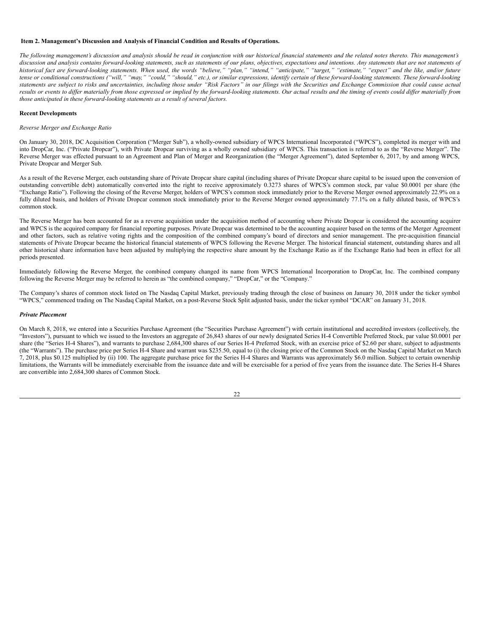#### <span id="page-21-0"></span>**Item 2. Management's Discussion and Analysis of Financial Condition and Results of Operations.**

The following management's discussion and analysis should be read in conjunction with our historical financial statements and the related notes thereto. This management's discussion and analysis contains forward-looking statements, such as statements of our plans, objectives, expectations and intentions. Any statements that are not statements of historical fact are forward-looking statements. When used, the words "believe," "plan," "intend," "anticipate," "target," "estimate," "expect" and the like, and/or future tense or conditional constructions ("will," "may," "could," "should," etc.), or similar expressions, identify certain of these forward-looking statements. These forward-looking statements are subject to risks and uncertainties, including those under "Risk Factors" in our filings with the Securities and Exchange Commission that could cause actual results or events to differ materially from those expressed or implied by the forward-looking statements. Our actual results and the timing of events could differ materially from *those anticipated in these forward-looking statements as a result of several factors.*

## **Recent Developments**

#### *Reverse Merger and Exchange Ratio*

On January 30, 2018, DC Acquisition Corporation ("Merger Sub"), a wholly-owned subsidiary of WPCS International Incorporated ("WPCS"), completed its merger with and into DropCar, Inc. ("Private Dropcar"), with Private Dropcar surviving as a wholly owned subsidiary of WPCS. This transaction is referred to as the "Reverse Merger". The Reverse Merger was effected pursuant to an Agreement and Plan of Merger and Reorganization (the "Merger Agreement"), dated September 6, 2017, by and among WPCS, Private Dropcar and Merger Sub.

As a result of the Reverse Merger, each outstanding share of Private Dropcar share capital (including shares of Private Dropcar share capital to be issued upon the conversion of outstanding convertible debt) automatically converted into the right to receive approximately 0.3273 shares of WPCS's common stock, par value \$0.0001 per share (the "Exchange Ratio"). Following the closing of the Reverse Merger, holders of WPCS's common stock immediately prior to the Reverse Merger owned approximately 22.9% on a fully diluted basis, and holders of Private Dropcar common stock immediately prior to the Reverse Merger owned approximately 77.1% on a fully diluted basis, of WPCS's common stock.

The Reverse Merger has been accounted for as a reverse acquisition under the acquisition method of accounting where Private Dropcar is considered the accounting acquirer and WPCS is the acquired company for financial reporting purposes. Private Dropcar was determined to be the accounting acquirer based on the terms of the Merger Agreement and other factors, such as relative voting rights and the composition of the combined company's board of directors and senior management. The pre-acquisition financial statements of Private Dropcar became the historical financial statements of WPCS following the Reverse Merger. The historical financial statement, outstanding shares and all other historical share information have been adjusted by multiplying the respective share amount by the Exchange Ratio as if the Exchange Ratio had been in effect for all periods presented.

Immediately following the Reverse Merger, the combined company changed its name from WPCS International Incorporation to DropCar, Inc. The combined company following the Reverse Merger may be referred to herein as "the combined company," "DropCar," or the "Company."

The Company's shares of common stock listed on The Nasdaq Capital Market, previously trading through the close of business on January 30, 2018 under the ticker symbol "WPCS," commenced trading on The Nasdaq Capital Market, on a post-Reverse Stock Split adjusted basis, under the ticker symbol "DCAR" on January 31, 2018.

#### *Private Placement*

On March 8, 2018, we entered into a Securities Purchase Agreement (the "Securities Purchase Agreement") with certain institutional and accredited investors (collectively, the "Investors"), pursuant to which we issued to the Investors an aggregate of 26,843 shares of our newly designated Series H-4 Convertible Preferred Stock, par value \$0.0001 per share (the "Series H-4 Shares"), and warrants to purchase 2,684,300 shares of our Series H-4 Preferred Stock, with an exercise price of \$2.60 per share, subject to adjustments (the "Warrants"). The purchase price per Series H-4 Share and warrant was \$235.50, equal to (i) the closing price of the Common Stock on the Nasdaq Capital Market on March  $7,2018$ , plus \$0.125 multiplied by (ii) 100. The aggregate purchase price for the Series H-4 Shares and Warrants was approximately \$6.0 million. Subject to certain ownership limitations, the Warrants will be immediately exercisable from the issuance date and will be exercisable for a period of five years from the issuance date. The Series H-4 Shares are convertible into 2,684,300 shares of Common Stock.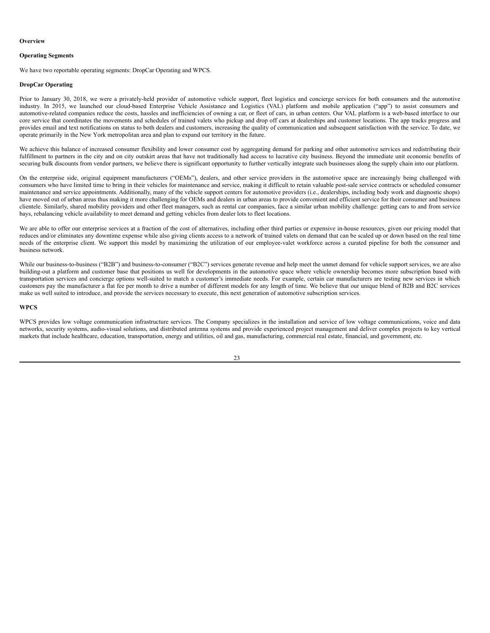#### **Overview**

#### **Operating Segments**

We have two reportable operating segments: DropCar Operating and WPCS.

## **DropCar Operating**

Prior to January 30, 2018, we were a privately-held provider of automotive vehicle support, fleet logistics and concierge services for both consumers and the automotive industry. In 2015, we launched our cloud-based Enterprise Vehicle Assistance and Logistics (VAL) platform and mobile application ("app") to assist consumers and automotive-related companies reduce the costs, hassles and inefficiencies of owning a car, or fleet of cars, in urban centers. Our VAL platform is a web-based interface to our core service that coordinates the movements and schedules of trained valets who pickup and drop off cars at dealerships and customer locations. The app tracks progress and provides email and text notifications on status to both dealers and customers, increasing the quality of communication and subsequent satisfaction with the service. To date, we operate primarily in the New York metropolitan area and plan to expand our territory in the future.

We achieve this balance of increased consumer flexibility and lower consumer cost by aggregating demand for parking and other automotive services and redistributing their fulfillment to partners in the city and on city outskirt areas that have not traditionally had access to lucrative city business. Beyond the immediate unit economic benefits of securing bulk discounts from vendor partners, we believe there is significant opportunity to further vertically integrate such businesses along the supply chain into our platform.

On the enterprise side, original equipment manufacturers ("OEMs"), dealers, and other service providers in the automotive space are increasingly being challenged with consumers who have limited time to bring in their vehicles for maintenance and service, making it difficult to retain valuable post-sale service contracts or scheduled consumer maintenance and service appointments. Additionally, many of the vehicle support centers for automotive providers (i.e., dealerships, including body work and diagnostic shops) have moved out of urban areas thus making it more challenging for OEMs and dealers in urban areas to provide convenient and efficient service for their consumer and business clientele. Similarly, shared mobility providers and other fleet managers, such as rental car companies, face a similar urban mobility challenge: getting cars to and from service bays, rebalancing vehicle availability to meet demand and getting vehicles from dealer lots to fleet locations.

We are able to offer our enterprise services at a fraction of the cost of alternatives, including other third parties or expensive in-house resources, given our pricing model that reduces and/or eliminates any downtime expense while also giving clients access to a network of trained valets on demand that can be scaled up or down based on the real time needs of the enterprise client. We support this model by maximizing the utilization of our employee-valet workforce across a curated pipeline for both the consumer and business network.

While our business-to-business ("B2B") and business-to-consumer ("B2C") services generate revenue and help meet the unmet demand for vehicle support services, we are also building-out a platform and customer base that positions us well for developments in the automotive space where vehicle ownership becomes more subscription based with transportation services and concierge options well-suited to match a customer's immediate needs. For example, certain car manufacturers are testing new services in which customers pay the manufacturer a flat fee per month to drive a number of different models for any length of time. We believe that our unique blend of B2B and B2C services make us well suited to introduce, and provide the services necessary to execute, this next generation of automotive subscription services.

### **WPCS**

WPCS provides low voltage communication infrastructure services. The Company specializes in the installation and service of low voltage communications, voice and data networks, security systems, audio-visual solutions, and distributed antenna systems and provide experienced project management and deliver complex projects to key vertical markets that include healthcare, education, transportation, energy and utilities, oil and gas, manufacturing, commercial real estate, financial, and government, etc.

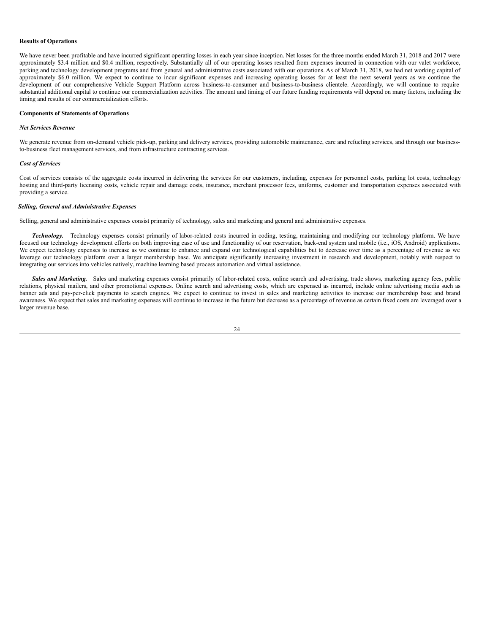#### **Results of Operations**

We have never been profitable and have incurred significant operating losses in each year since inception. Net losses for the three months ended March 31, 2018 and 2017 were approximately \$3.4 million and \$0.4 million, respectively. Substantially all of our operating losses resulted from expenses incurred in connection with our valet workforce, parking and technology development programs and from general and administrative costs associated with our operations. As of March 31, 2018, we had net working capital of approximately \$6.0 million. We expect to continue to incur significant expenses and increasing operating losses for at least the next several years as we continue the development of our comprehensive Vehicle Support Platform across business-to-consumer and business-to-business clientele. Accordingly, we will continue to require substantial additional capital to continue our commercialization activities. The amount and timing of our future funding requirements will depend on many factors, including the timing and results of our commercialization efforts.

## **Components of Statements of Operations**

#### *Net Services Revenue*

We generate revenue from on-demand vehicle pick-up, parking and delivery services, providing automobile maintenance, care and refueling services, and through our businessto-business fleet management services, and from infrastructure contracting services.

#### *Cost of Services*

Cost of services consists of the aggregate costs incurred in delivering the services for our customers, including, expenses for personnel costs, parking lot costs, technology hosting and third-party licensing costs, vehicle repair and damage costs, insurance, merchant processor fees, uniforms, customer and transportation expenses associated with providing a service.

## *Selling, General and Administrative Expenses*

Selling, general and administrative expenses consist primarily of technology, sales and marketing and general and administrative expenses.

*Technology.* Technology expenses consist primarily of labor-related costs incurred in coding, testing, maintaining and modifying our technology platform. We have focused our technology development efforts on both improving ease of use and functionality of our reservation, back-end system and mobile (i.e., iOS, Android) applications. We expect technology expenses to increase as we continue to enhance and expand our technological capabilities but to decrease over time as a percentage of revenue as we leverage our technology platform over a larger membership base. We anticipate significantly increasing investment in research and development, notably with respect to integrating our services into vehicles natively, machine learning based process automation and virtual assistance.

*Sales and Marketing.* Sales and marketing expenses consist primarily of labor-related costs, online search and advertising, trade shows, marketing agency fees, public relations, physical mailers, and other promotional expenses. Online search and advertising costs, which are expensed as incurred, include online advertising media such as banner ads and pay-per-click payments to search engines. We expect to continue to invest in sales and marketing activities to increase our membership base and brand awareness. We expect that sales and marketing expenses will continue to increase in the future but decrease as a percentage of revenue as certain fixed costs are leveraged over a larger revenue base.

$$
^{24}
$$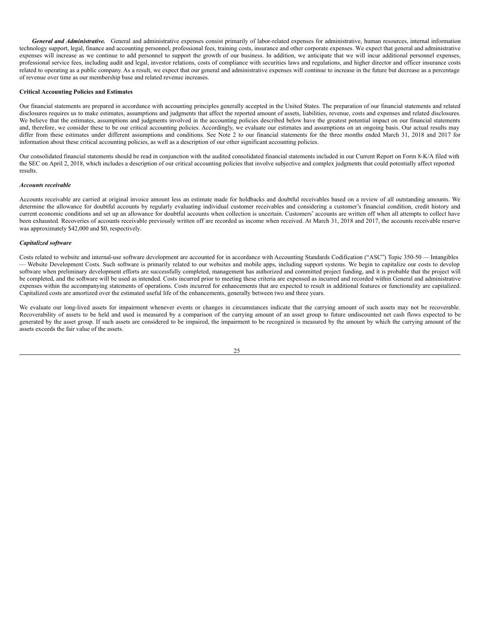*General and Administrative.* General and administrative expenses consist primarily of labor-related expenses for administrative, human resources, internal information technology support, legal, finance and accounting personnel, professional fees, training costs, insurance and other corporate expenses. We expect that general and administrative expenses will increase as we continue to add personnel to support the growth of our business. In addition, we anticipate that we will incur additional personnel expenses, professional service fees, including audit and legal, investor relations, costs of compliance with securities laws and regulations, and higher director and officer insurance costs related to operating as a public company. As a result, we expect that our general and administrative expenses will continue to increase in the future but decrease as a percentage of revenue over time as our membership base and related revenue increases.

### **Critical Accounting Policies and Estimates**

Our financial statements are prepared in accordance with accounting principles generally accepted in the United States. The preparation of our financial statements and related disclosures requires us to make estimates, assumptions and judgments that affect the reported amount of assets, liabilities, revenue, costs and expenses and related disclosures. We believe that the estimates, assumptions and judgments involved in the accounting policies described below have the greatest potential impact on our financial statements and, therefore, we consider these to be our critical accounting policies. Accordingly, we evaluate our estimates and assumptions on an ongoing basis. Our actual results may differ from these estimates under different assumptions and conditions. See Note 2 to our financial statements for the three months ended March 31, 2018 and 2017 for information about these critical accounting policies, as well as a description of our other significant accounting policies.

Our consolidated financial statements should be read in conjunction with the audited consolidated financial statements included in our Current Report on Form 8-K/A filed with the SEC on April 2, 2018, which includes a description of our critical accounting policies that involve subjective and complex judgments that could potentially affect reported results.

#### *Accounts receivable*

Accounts receivable are carried at original invoice amount less an estimate made for holdbacks and doubtful receivables based on a review of all outstanding amounts. We determine the allowance for doubtful accounts by regularly evaluating individual customer receivables and considering a customer's financial condition, credit history and current economic conditions and set up an allowance for doubtful accounts when collection is uncertain. Customers' accounts are written off when all attempts to collect have been exhausted. Recoveries of accounts receivable previously written off are recorded as income when received. At March 31, 2018 and 2017, the accounts receivable reserve was approximately \$42,000 and \$0, respectively.

## *Capitalized software*

Costs related to website and internal-use software development are accounted for in accordance with Accounting Standards Codification ("ASC") Topic 350-50 — Intangibles — Website Development Costs. Such software is primarily related to our websites and mobile apps, including support systems. We begin to capitalize our costs to develop software when preliminary development efforts are successfully completed, management has authorized and committed project funding, and it is probable that the project will be completed, and the software will be used as intended. Costs incurred prior to meeting these criteria are expensed as incurred and recorded within General and administrative expenses within the accompanying statements of operations. Costs incurred for enhancements that are expected to result in additional features or functionality are capitalized. Capitalized costs are amortized over the estimated useful life of the enhancements, generally between two and three years.

We evaluate our long-lived assets for impairment whenever events or changes in circumstances indicate that the carrying amount of such assets may not be recoverable. Recoverability of assets to be held and used is measured by a comparison of the carrying amount of an asset group to future undiscounted net cash flows expected to be generated by the asset group. If such assets are considered to be impaired, the impairment to be recognized is measured by the amount by which the carrying amount of the assets exceeds the fair value of the assets.

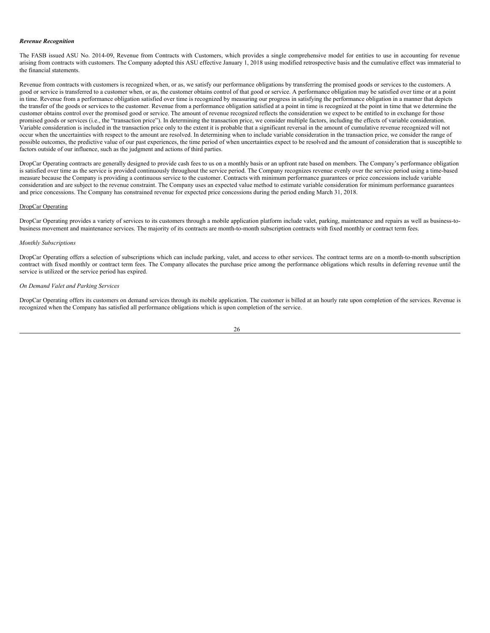#### *Revenue Recognition*

The FASB issued ASU No. 2014-09, Revenue from Contracts with Customers, which provides a single comprehensive model for entities to use in accounting for revenue arising from contracts with customers. The Company adopted this ASU effective January 1, 2018 using modified retrospective basis and the cumulative effect was immaterial to the financial statements.

Revenue from contracts with customers is recognized when, or as, we satisfy our performance obligations by transferring the promised goods or services to the customers. A good or service is transferred to a customer when, or as, the customer obtains control of that good or service. A performance obligation may be satisfied over time or at a point in time. Revenue from a performance obligation satisfied over time is recognized by measuring our progress in satisfying the performance obligation in a manner that depicts the transfer of the goods or services to the customer. Revenue from a performance obligation satisfied at a point in time is recognized at the point in time that we determine the customer obtains control over the promised good or service. The amount of revenue recognized reflects the consideration we expect to be entitled to in exchange for those promised goods or services (i.e., the "transaction price"). In determining the transaction price, we consider multiple factors, including the effects of variable consideration. Variable consideration is included in the transaction price only to the extent it is probable that a significant reversal in the amount of cumulative revenue recognized will not occur when the uncertainties with respect to the amount are resolved. In determining when to include variable consideration in the transaction price, we consider the range of possible outcomes, the predictive value of our past experiences, the time period of when uncertainties expect to be resolved and the amount of consideration that is susceptible to factors outside of our influence, such as the judgment and actions of third parties.

DropCar Operating contracts are generally designed to provide cash fees to us on a monthly basis or an upfront rate based on members. The Company's performance obligation is satisfied over time as the service is provided continuously throughout the service period. The Company recognizes revenue evenly over the service period using a time-based measure because the Company is providing a continuous service to the customer. Contracts with minimum performance guarantees or price concessions include variable consideration and are subject to the revenue constraint. The Company uses an expected value method to estimate variable consideration for minimum performance guarantees and price concessions. The Company has constrained revenue for expected price concessions during the period ending March 31, 2018.

## DropCar Operating

DropCar Operating provides a variety of services to its customers through a mobile application platform include valet, parking, maintenance and repairs as well as business-tobusiness movement and maintenance services. The majority of its contracts are month-to-month subscription contracts with fixed monthly or contract term fees.

## *Monthly Subscriptions*

DropCar Operating offers a selection of subscriptions which can include parking, valet, and access to other services. The contract terms are on a month-to-month subscription contract with fixed monthly or contract term fees. The Company allocates the purchase price among the performance obligations which results in deferring revenue until the service is utilized or the service period has expired.

## *On Demand Valet and Parking Services*

DropCar Operating offers its customers on demand services through its mobile application. The customer is billed at an hourly rate upon completion of the services. Revenue is recognized when the Company has satisfied all performance obligations which is upon completion of the service.

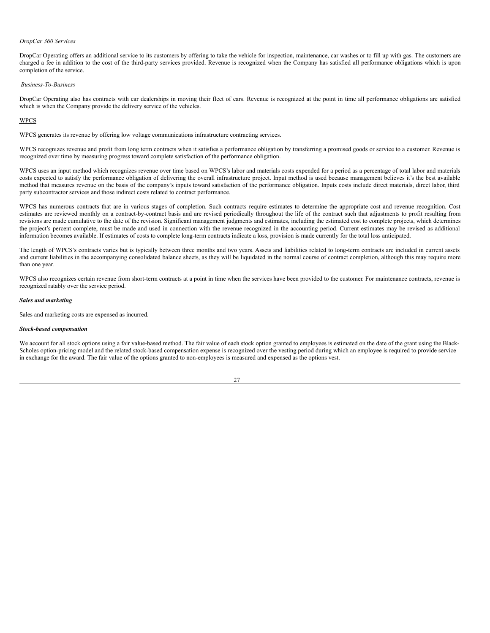#### *DropCar 360 Services*

DropCar Operating offers an additional service to its customers by offering to take the vehicle for inspection, maintenance, car washes or to fill up with gas. The customers are charged a fee in addition to the cost of the third-party services provided. Revenue is recognized when the Company has satisfied all performance obligations which is upon completion of the service.

#### *Business-To-Business*

DropCar Operating also has contracts with car dealerships in moving their fleet of cars. Revenue is recognized at the point in time all performance obligations are satisfied which is when the Company provide the delivery service of the vehicles.

### WPCS

WPCS generates its revenue by offering low voltage communications infrastructure contracting services.

WPCS recognizes revenue and profit from long term contracts when it satisfies a performance obligation by transferring a promised goods or service to a customer. Revenue is recognized over time by measuring progress toward complete satisfaction of the performance obligation.

WPCS uses an input method which recognizes revenue over time based on WPCS's labor and materials costs expended for a period as a percentage of total labor and materials costs expected to satisfy the performance obligation of delivering the overall infrastructure project. Input method is used because management believes it's the best available method that measures revenue on the basis of the company's inputs toward satisfaction of the performance obligation. Inputs costs include direct materials, direct labor, third party subcontractor services and those indirect costs related to contract performance.

WPCS has numerous contracts that are in various stages of completion. Such contracts require estimates to determine the appropriate cost and revenue recognition. Cost estimates are reviewed monthly on a contract-by-contract basis and are revised periodically throughout the life of the contract such that adjustments to profit resulting from revisions are made cumulative to the date of the revision. Significant management judgments and estimates, including the estimated cost to complete projects, which determines the project's percent complete, must be made and used in connection with the revenue recognized in the accounting period. Current estimates may be revised as additional information becomes available. If estimates of costs to complete long-term contracts indicate a loss, provision is made currently for the total loss anticipated.

The length of WPCS's contracts varies but is typically between three months and two years. Assets and liabilities related to long-term contracts are included in current assets and current liabilities in the accompanying consolidated balance sheets, as they will be liquidated in the normal course of contract completion, although this may require more than one year.

WPCS also recognizes certain revenue from short-term contracts at a point in time when the services have been provided to the customer. For maintenance contracts, revenue is recognized ratably over the service period.

#### *Sales and marketing*

Sales and marketing costs are expensed as incurred.

## *Stock-based compensation*

We account for all stock options using a fair value-based method. The fair value of each stock option granted to employees is estimated on the date of the grant using the Black-Scholes option-pricing model and the related stock-based compensation expense is recognized over the vesting period during which an employee is required to provide service in exchange for the award. The fair value of the options granted to non-employees is measured and expensed as the options vest.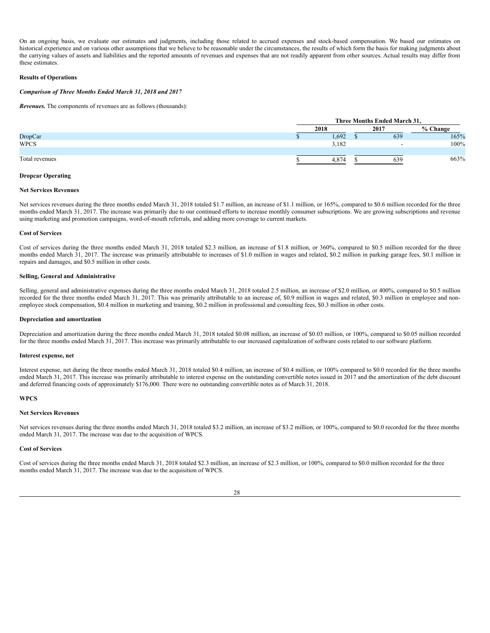On an ongoing basis, we evaluate our estimates and judgments, including those related to accrued expenses and stock-based compensation. We based our estimates on historical experience and on various other assumptions that we believe to be reasonable under the circumstances, the results of which form the basis for making judgments about the carrying values of assets and liabilities and the reported amounts of revenues and expenses that are not readily apparent from other sources. Actual results may differ from these estimates.

### **Results of Operations**

## *Comparison of Three Months Ended March 31, 2018 and 2017*

*Revenues.* The components of revenues are as follows (thousands):

|                | Three Months Ended March 31, |  |          |            |
|----------------|------------------------------|--|----------|------------|
|                | 2018                         |  | 2017     | $%$ Change |
| <b>DropCar</b> | 1,692                        |  | 639      | 165%       |
| <b>WPCS</b>    | 3,182                        |  | <b>.</b> | 100%       |
|                |                              |  |          |            |
| Total revenues | 4.874                        |  | 639      | 663%       |
|                |                              |  |          |            |

## **Dropcar Operating**

#### **Net Services Revenues**

Net services revenues during the three months ended March 31, 2018 totaled \$1.7 million, an increase of \$1.1 million, or 165%, compared to \$0.6 million recorded for the three months ended March 31, 2017. The increase was primarily due to our continued efforts to increase monthly consumer subscriptions. We are growing subscriptions and revenue using marketing and promotion campaigns, word-of-mouth referrals, and adding more coverage to current markets.

## **Cost of Services**

Cost of services during the three months ended March 31, 2018 totaled \$2.3 million, an increase of \$1.8 million, or 360%, compared to \$0.5 million recorded for the three months ended March 31, 2017. The increase was primarily attributable to increases of \$1.0 million in wages and related, \$0.2 million in parking garage fees, \$0.1 million in repairs and damages, and \$0.5 million in other costs.

## **Selling, General and Administrative**

Selling, general and administrative expenses during the three months ended March 31, 2018 totaled 2.5 million, an increase of \$2.0 million, or 400%, compared to \$0.5 million recorded for the three months ended March 31, 2017. This was primarily attributable to an increase of, \$0.9 million in wages and related, \$0.3 million in employee and nonemployee stock compensation, \$0.4 million in marketing and training, \$0.2 million in professional and consulting fees, \$0.3 million in other costs.

#### **Depreciation and amortization**

Depreciation and amortization during the three months ended March 31, 2018 totaled \$0.08 million, an increase of \$0.03 million, or 100%, compared to \$0.05 million recorded for the three months ended March 31, 2017. This increase was primarily attributable to our increased capitalization of software costs related to our software platform.

#### **Interest expense, net**

Interest expense, net during the three months ended March 31, 2018 totaled \$0.4 million, an increase of \$0.4 million, or 100% compared to \$0.0 recorded for the three months ended March 31, 2017. This increase was primarily attributable to interest expense on the outstanding convertible notes issued in 2017 and the amortization of the debt discount and deferred financing costs of approximately \$176,000. There were no outstanding convertible notes as of March 31, 2018.

#### **WPCS**

#### **Net Services Revenues**

Net services revenues during the three months ended March 31, 2018 totaled \$3.2 million, an increase of \$3.2 million, or 100%, compared to \$0.0 recorded for the three months ended March 31, 2017. The increase was due to the acquisition of WPCS.

#### **Cost of Services**

Cost of services during the three months ended March 31, 2018 totaled \$2.3 million, an increase of \$2.3 million, or 100%, compared to \$0.0 million recorded for the three months ended March 31, 2017. The increase was due to the acquisition of WPCS.

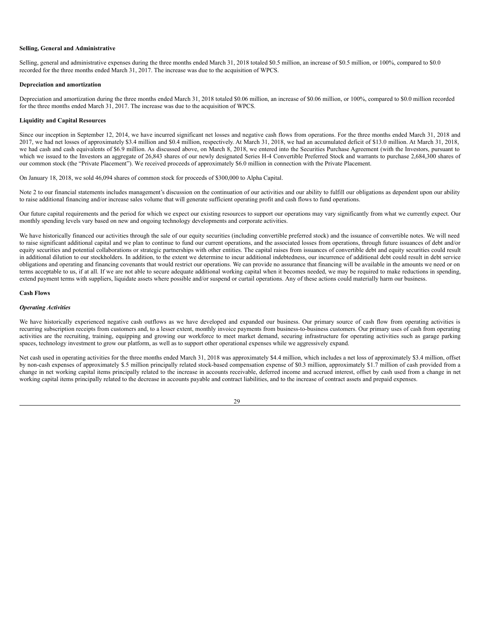## **Selling, General and Administrative**

Selling, general and administrative expenses during the three months ended March 31, 2018 totaled \$0.5 million, an increase of \$0.5 million, or 100%, compared to \$0.0 recorded for the three months ended March 31, 2017. The increase was due to the acquisition of WPCS.

#### **Depreciation and amortization**

Depreciation and amortization during the three months ended March 31, 2018 totaled \$0.06 million, an increase of \$0.06 million, or 100%, compared to \$0.0 million recorded for the three months ended March 31, 2017. The increase was due to the acquisition of WPCS.

### **Liquidity and Capital Resources**

Since our inception in September 12, 2014, we have incurred significant net losses and negative cash flows from operations. For the three months ended March 31, 2018 and 2017, we had net losses of approximately \$3.4 million and \$0.4 million, respectively. At March 31, 2018, we had an accumulated deficit of \$13.0 million. At March 31, 2018, we had cash and cash equivalents of \$6.9 million. As discussed above, on March 8, 2018, we entered into the Securities Purchase Agreement (with the Investors, pursuant to which we issued to the Investors an aggregate of 26,843 shares of our newly designated Series H-4 Convertible Preferred Stock and warrants to purchase 2,684,300 shares of our common stock (the "Private Placement"). We received proceeds of approximately \$6.0 million in connection with the Private Placement.

On January 18, 2018, we sold 46,094 shares of common stock for proceeds of \$300,000 to Alpha Capital.

Note 2 to our financial statements includes management's discussion on the continuation of our activities and our ability to fulfill our obligations as dependent upon our ability to raise additional financing and/or increase sales volume that will generate sufficient operating profit and cash flows to fund operations.

Our future capital requirements and the period for which we expect our existing resources to support our operations may vary significantly from what we currently expect. Our monthly spending levels vary based on new and ongoing technology developments and corporate activities.

We have historically financed our activities through the sale of our equity securities (including convertible preferred stock) and the issuance of convertible notes. We will need to raise significant additional capital and we plan to continue to fund our current operations, and the associated losses from operations, through future issuances of debt and/or equity securities and potential collaborations or strategic partnerships with other entities. The capital raises from issuances of convertible debt and equity securities could result in additional dilution to our stockholders. In addition, to the extent we determine to incur additional indebtedness, our incurrence of additional debt could result in debt service obligations and operating and financing covenants that would restrict our operations. We can provide no assurance that financing will be available in the amounts we need or on terms acceptable to us, if at all. If we are not able to secure adequate additional working capital when it becomes needed, we may be required to make reductions in spending, extend payment terms with suppliers, liquidate assets where possible and/or suspend or curtail operations. Any of these actions could materially harm our business.

#### **Cash Flows**

## *Operating Activities*

We have historically experienced negative cash outflows as we have developed and expanded our business. Our primary source of cash flow from operating activities is recurring subscription receipts from customers and, to a lesser extent, monthly invoice payments from business-to-business customers. Our primary uses of cash from operating activities are the recruiting, training, equipping and growing our workforce to meet market demand, securing infrastructure for operating activities such as garage parking spaces, technology investment to grow our platform, as well as to support other operational expenses while we aggressively expand.

Net cash used in operating activities for the three months ended March 31, 2018 was approximately \$4.4 million, which includes a net loss of approximately \$3.4 million, offset by non-cash expenses of approximately \$.5 million principally related stock-based compensation expense of \$0.3 million, approximately \$1.7 million of cash provided from a change in net working capital items principally related to the increase in accounts receivable, deferred income and accrued interest, offset by cash used from a change in net working capital items principally related to the decrease in accounts payable and contract liabilities, and to the increase of contract assets and prepaid expenses.

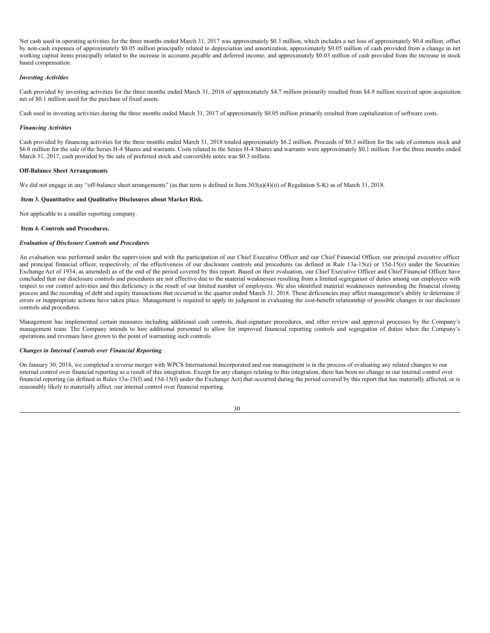Net cash used in operating activities for the three months ended March 31, 2017 was approximately \$0.3 million, which includes a net loss of approximately \$0.4 million, offset by non-cash expenses of approximately \$0.05 million principally related to depreciation and amortization, approximately \$0.05 million of cash provided from a change in net working capital items principally related to the increase in accounts payable and deferred income, and approximately \$0.03 million of cash provided from the increase in stock based compensation.

## *Investing Activities*

Cash provided by investing activities for the three months ended March 31, 2018 of approximately \$4.7 million primarily resulted from \$4.9 million received upon acquisition net of \$0.1 million used for the purchase of fixed assets.

Cash used in investing activities during the three months ended March 31, 2017 of approximately \$0.05 million primarily resulted from capitalization of software costs.

#### *Financing Activities*

Cash provided by financing activities for the three months ended March 31, 2018 totaled approximately \$6.2 million. Proceeds of \$0.3 million for the sale of common stock and \$6.0 million for the sale ofthe Series H-4 Shares and warrants. Costs related to the Series H-4 Shares and warrants were approximately \$0.1 million. For the three months ended March 31, 2017, cash provided by the sale of preferred stock and convertible notes was \$0.3 million.

### **Off-Balance Sheet Arrangements**

We did not engage in any "off-balance sheet arrangements" (as that term is defined in Item 303(a)(4)(ii) of Regulation S-K) as of March 31, 2018.

### <span id="page-29-0"></span>**Item 3. Quantitative and Qualitative Disclosures about Market Risk.**

Not applicable to a smaller reporting company.

### <span id="page-29-1"></span>**Item 4. Controls and Procedures.**

### *Evaluation of Disclosure Controls and Procedures*

An evaluation was performed under the supervision and with the participation of our Chief Executive Officer and our Chief Financial Officer, our principal executive officer and principal financial officer, respectively, of the effectiveness of our disclosure controls and procedures (as defined in Rule 13a-15(e) or 15d-15(e) under the Securities Exchange Act of 1934, as amended) as of the end of the period covered by this report. Based on their evaluation, our Chief Executive Officer and Chief Financial Officer have concluded that our disclosure controls and procedures are not effective due to the material weaknesses resulting from a limited segregation of duties among our employees with respect to our control activities and this deficiency is the result of our limited number of employees. We also identified material weaknesses surrounding the financial closing process and the recording of debt and equity transactions that occurred in the quarter ended March 31, 2018. These deficiencies may affect management's ability to determine if errors or inappropriate actions have taken place. Management is required to apply its judgment in evaluating the cost-benefit relationship of possible changes in our disclosure controls and procedures.

Management has implemented certain measures including additional cash controls, dual-signature procedures, and other review and approval processes by the Company's management team. The Company intends to hire additional personnel to allow for improved financial reporting controls and segregation of duties when the Company's operations and revenues have grown to the point of warranting such controls.

## *Changes in Internal Controls over Financial Reporting*

On January 30, 2018, we completed a reverse merger with WPCS International Incorporated and our management is in the process of evaluating any related changes to our internal control over financial reporting as a result of this integration. Except for any changes relating to this integration, there has been no change in our internal control over financial reporting (as defined in Rules 13a-15(f) and 15d-15(f) under the Exchange Act) that occurred during the period covered by this report that has materially affected, or is reasonably likely to materially affect, our internal control over financial reporting.

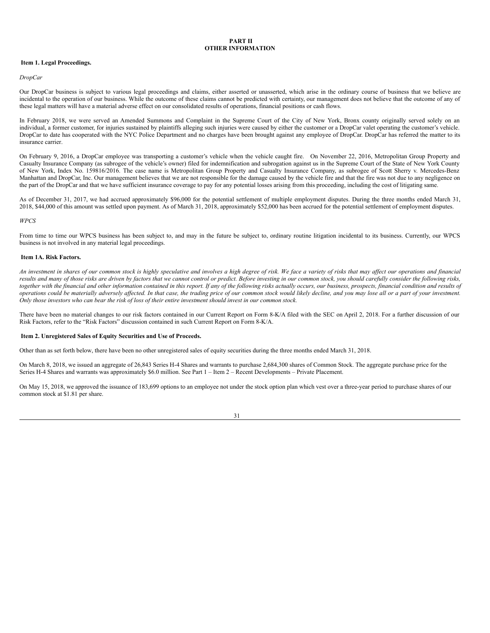## <span id="page-30-0"></span>**PART II OTHER INFORMATION**

## <span id="page-30-1"></span>**Item 1. Legal Proceedings.**

#### *DropCar*

Our DropCar business is subject to various legal proceedings and claims, either asserted or unasserted, which arise in the ordinary course of business that we believe are incidental to the operation of our business. While the outcome of these claims cannot be predicted with certainty, our management does not believe that the outcome of any of these legal matters will have a material adverse effect on our consolidated results of operations, financial positions or cash flows.

In February 2018, we were served an Amended Summons and Complaint in the Supreme Court of the City of New York, Bronx county originally served solely on an individual, a former customer, for injuries sustained by plaintiffs alleging such injuries were caused by either the customer or a DropCar valet operating the customer's vehicle. DropCar to date has cooperated with the NYC Police Department and no charges have been brought against any employee of DropCar. DropCar has referred the matter to its insurance carrier.

On February 9, 2016, a DropCar employee was transporting a customer's vehicle when the vehicle caught fire. On November 22, 2016, Metropolitan Group Property and Casualty Insurance Company (as subrogee of the vehicle's owner) filed for indemnification and subrogation against us in the Supreme Court of the State of New York County of New York, Index No. 159816/2016. The case name is Metropolitan Group Property and Casualty Insurance Company, as subrogee of Scott Sherry v. Mercedes-Benz Manhattan and DropCar, Inc. Our management believes that we are not responsible for the damage caused by the vehicle fire and that the fire was not due to any negligence on the part of the DropCar and that we have sufficient insurance coverage to pay for any potential losses arising from this proceeding, including the cost of litigating same.

As of December 31, 2017, we had accrued approximately \$96,000 for the potential settlement of multiple employment disputes. During the three months ended March 31, 2018, \$44,000 of this amount was settled upon payment. As of March 31, 2018, approximately \$52,000 has been accrued for the potential settlement of employment disputes.

#### *WPCS*

From time to time our WPCS business has been subject to, and may in the future be subject to, ordinary routine litigation incidental to its business. Currently, our WPCS business is not involved in any material legal proceedings.

#### <span id="page-30-2"></span>**Item 1A. Risk Factors.**

An investment in shares of our common stock is highly speculative and involves a high degree of risk. We face a variety of risks that may affect our operations and financial results and many of those risks are driven by factors that we cannot control or predict. Before investing in our common stock, you should carefully consider the following risks, together with the financial and other information contained in this report. If any of the following risks actually occurs, our business, prospects, financial condition and results of operations could be materially adversely affected. In that case, the trading price of our common stock would likely decline, and you may lose all or a part of your investment. Only those investors who can bear the risk of loss of their entire investment should invest in our common stock.

There have been no material changes to our risk factors contained in our Current Report on Form 8-K/A filed with the SEC on April 2, 2018. For a further discussion of our Risk Factors, refer to the "Risk Factors" discussion contained in such Current Report on Form 8-K/A.

## <span id="page-30-3"></span>**Item 2. Unregistered Sales of Equity Securities and Use of Proceeds.**

Other than as set forth below, there have been no other unregistered sales of equity securities during the three months ended March 31, 2018.

On March 8, 2018, we issued an aggregate of 26,843 Series H-4 Shares and warrants to purchase 2,684,300 shares of Common Stock. The aggregate purchase price for the Series H-4 Shares and warrants was approximately \$6.0 million. See Part 1 – Item 2 – Recent Developments – Private Placement.

On May 15, 2018, we approved the issuance of 183,699 options to an employee not under the stock option plan which vest over a three-year period to purchase shares of our common stock at \$1.81 per share.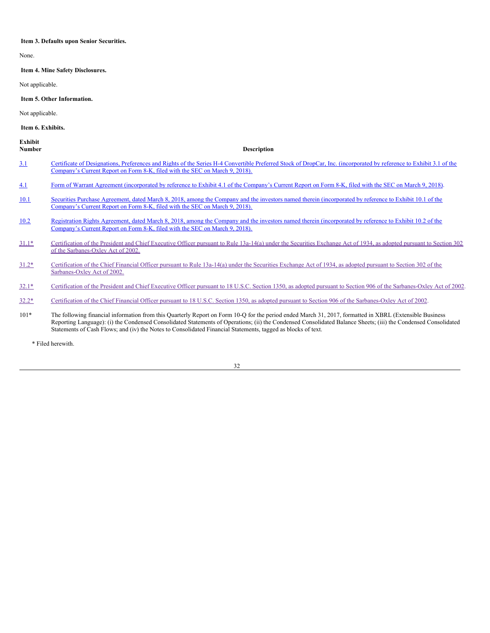#### <span id="page-31-0"></span>**Item 3. Defaults upon Senior Securities.**

None.

<span id="page-31-1"></span>**Item 4. Mine Safety Disclosures.**

Not applicable.

<span id="page-31-2"></span>**Item 5. Other Information.**

Not applicable.

## <span id="page-31-3"></span>**Item 6. Exhibits.**

**Exhibit**

| Number | <b>Description</b> |
|--------|--------------------|
|        |                    |

- [3.1](http://www.sec.gov/Archives/edgar/data/1086745/000114420418013739/tv488100_ex3-1.htm) Certificate of [Designations,](http://www.sec.gov/Archives/edgar/data/1086745/000114420418013739/tv488100_ex3-1.htm) Preferences and Rights of the Series H-4 Convertible Preferred Stock of DropCar, Inc. (incorporated by reference to Exhibit 3.1 of the Company's Current Report on Form 8-K, filed with the SEC on March 9, 2018).
- [4.1](http://www.sec.gov/Archives/edgar/data/1086745/000114420418013739/tv488100_ex4-1.htm) Form of Warrant Agreement [\(incorporated](http://www.sec.gov/Archives/edgar/data/1086745/000114420418013739/tv488100_ex4-1.htm) by reference to Exhibit 4.1 of the Company's Current Report on Form 8-K, filed with the SEC on March 9, 2018).
- [10.1](http://www.sec.gov/Archives/edgar/data/1086745/000114420418013739/tv488100_ex10-1.htm) Securities Purchase Agreement, dated March 8, 2018, among the Company and the investors named therein [\(incorporated](http://www.sec.gov/Archives/edgar/data/1086745/000114420418013739/tv488100_ex10-1.htm) by reference to Exhibit 10.1 of the Company's Current Report on Form 8-K, filed with the SEC on March 9, 2018).
- [10.2](http://www.sec.gov/Archives/edgar/data/1086745/000114420418013739/tv488100_ex10-2.htm) Registration Rights Agreement, dated March 8, 2018, among the Company and the investors named therein [\(incorporated](http://www.sec.gov/Archives/edgar/data/1086745/000114420418013739/tv488100_ex10-2.htm) by reference to Exhibit 10.2 of the Company's Current Report on Form 8-K, filed with the SEC on March 9, 2018).
- [31.1\\*](#page-34-0) Certification of the President and Chief Executive Officer pursuant to Rule 13a-14(a) under the Securities Exchange Act of 1934, as adopted pursuant to Section 302 of the [Sarbanes-Oxley](#page-34-0) Act of 2002.
- [31.2\\*](#page-35-0) Certification of the Chief Financial Officer pursuant to Rule 13a-14(a) under the Securities Exchange Act of 1934, as adopted pursuant to Section 302 of the [Sarbanes-Oxley](#page-35-0) Act of 2002.
- [32.1\\*](#page-36-0) Certification of the President and Chief Executive Officer pursuant to 18 U.S.C. Section 1350, as adopted pursuant to Section 906 of the [Sarbanes-Oxley](#page-36-0) Act of 2002.
- [32.2\\*](#page-37-0) Certification of the Chief Financial Officer pursuant to 18 U.S.C. Section 1350, as adopted pursuant to Section 906 of the [Sarbanes-Oxley](#page-37-0) Act of 2002.
- 101\* The following financial information from this Quarterly Report on Form 10-Q for the period ended March 31, 2017, formatted in XBRL (Extensible Business Reporting Language): (i) the Condensed Consolidated Statements of Operations; (ii) the Condensed Consolidated Balance Sheets; (iii) the Condensed Consolidated Statements of Cash Flows; and (iv) the Notes to Consolidated Financial Statements, tagged as blocks of text.

\* Filed herewith.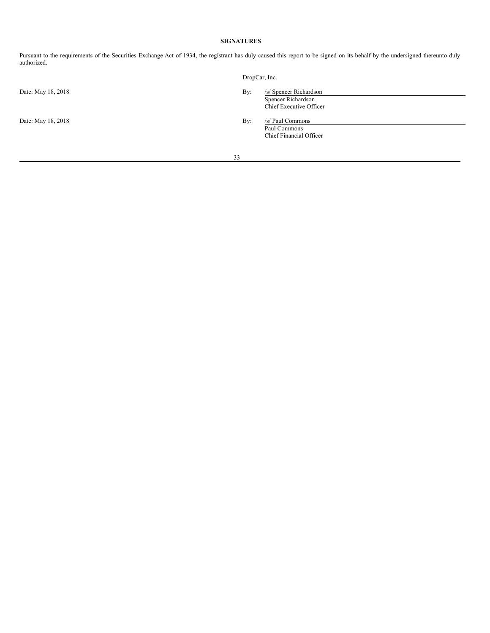# <span id="page-32-0"></span>**SIGNATURES**

Pursuant to the requirements of the Securities Exchange Act of 1934, the registrant has duly caused this report to be signed on its behalf by the undersigned thereunto duly authorized.

|                    | DropCar, Inc. |                                                                         |
|--------------------|---------------|-------------------------------------------------------------------------|
| Date: May 18, 2018 | By:           | /s/ Spencer Richardson<br>Spencer Richardson<br>Chief Executive Officer |
| Date: May 18, 2018 | By:           | /s/ Paul Commons<br>Paul Commons<br>Chief Financial Officer             |
|                    | 33            |                                                                         |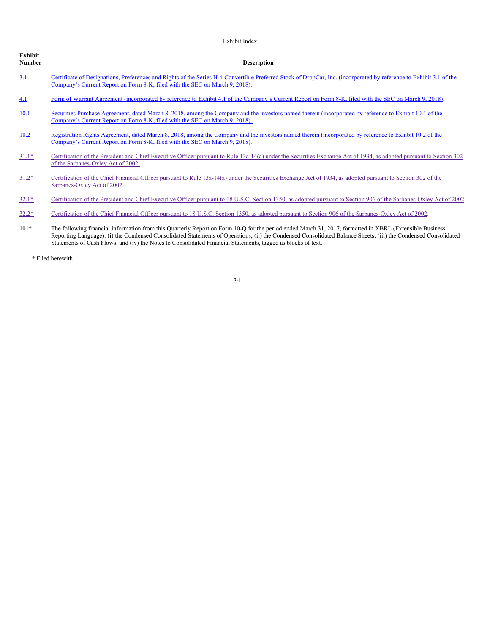| Exhibit<br>Number | <b>Description</b>                                                                                                                                                                                                                                                                                                                                                                                                                         |
|-------------------|--------------------------------------------------------------------------------------------------------------------------------------------------------------------------------------------------------------------------------------------------------------------------------------------------------------------------------------------------------------------------------------------------------------------------------------------|
| 3.1               | Certificate of Designations, Preferences and Rights of the Series H-4 Convertible Preferred Stock of DropCar, Inc. (incorporated by reference to Exhibit 3.1 of the<br>Company's Current Report on Form 8-K, filed with the SEC on March 9, 2018).                                                                                                                                                                                         |
| <u>4.1</u>        | Form of Warrant Agreement (incorporated by reference to Exhibit 4.1 of the Company's Current Report on Form 8-K, filed with the SEC on March 9, 2018).                                                                                                                                                                                                                                                                                     |
| 10.1              | Securities Purchase Agreement, dated March 8, 2018, among the Company and the investors named therein (incorporated by reference to Exhibit 10.1 of the<br>Company's Current Report on Form 8-K, filed with the SEC on March 9, 2018).                                                                                                                                                                                                     |
| 10.2              | Registration Rights Agreement, dated March 8, 2018, among the Company and the investors named therein (incorporated by reference to Exhibit 10.2 of the<br>Company's Current Report on Form 8-K, filed with the SEC on March 9, 2018).                                                                                                                                                                                                     |
| $31.1*$           | Certification of the President and Chief Executive Officer pursuant to Rule 13a-14(a) under the Securities Exchange Act of 1934, as adopted pursuant to Section 302<br>of the Sarbanes-Oxley Act of 2002.                                                                                                                                                                                                                                  |
| $31.2*$           | Certification of the Chief Financial Officer pursuant to Rule 13a-14(a) under the Securities Exchange Act of 1934, as adopted pursuant to Section 302 of the<br>Sarbanes-Oxley Act of 2002.                                                                                                                                                                                                                                                |
| $32.1*$           | Certification of the President and Chief Executive Officer pursuant to 18 U.S.C. Section 1350, as adopted pursuant to Section 906 of the Sarbanes-Oxley Act of 2002.                                                                                                                                                                                                                                                                       |
| $32.2*$           | Certification of the Chief Financial Officer pursuant to 18 U.S.C. Section 1350, as adopted pursuant to Section 906 of the Sarbanes-Oxley Act of 2002.                                                                                                                                                                                                                                                                                     |
| $101*$            | The following financial information from this Quarterly Report on Form 10-Q for the period ended March 31, 2017, formatted in XBRL (Extensible Business)<br>Reporting Language): (i) the Condensed Consolidated Statements of Operations; (ii) the Condensed Consolidated Balance Sheets; (iii) the Condensed Consolidated<br>Statements of Cash Flows; and (iv) the Notes to Consolidated Financial Statements, tagged as blocks of text. |
|                   | * Filed herewith.                                                                                                                                                                                                                                                                                                                                                                                                                          |

Exhibit Index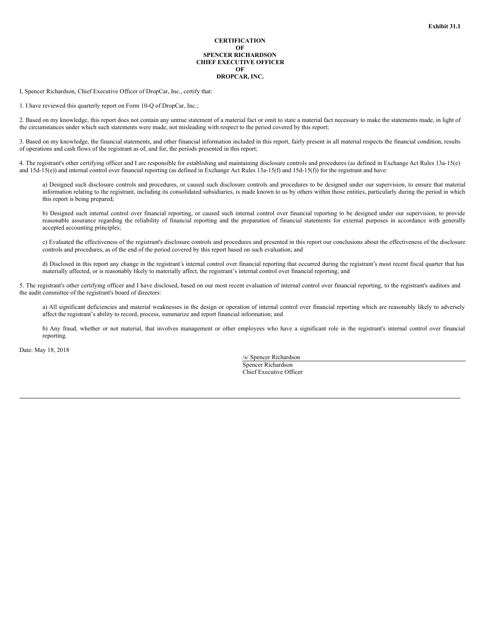## **CERTIFICATION OF SPENCER RICHARDSON CHIEF EXECUTIVE OFFICER OF DROPCAR, INC.**

<span id="page-34-0"></span>I, Spencer Richardson, Chief Executive Officer of DropCar, Inc., certify that:

1. I have reviewed this quarterly report on Form 10-Q of DropCar, Inc.;

2. Based on my knowledge, this report does not contain any untrue statement of a material fact or omit to state a material fact necessary to make the statements made, in light of the circumstances under which such statements were made, not misleading with respect to the period covered by this report;

3. Based on my knowledge, the financial statements, and other financial information included in this report, fairly present in all material respects the financial condition, results of operations and cash flows of the registrant as of, and for, the periods presented in this report;

4. The registrant's other certifying officer and I are responsible for establishing and maintaining disclosure controls and procedures (as defined in Exchange Act Rules 13a-15(e) and 15d-15(e)) and internal control over financial reporting (as defined in Exchange Act Rules 13a-15(f) and 15d-15(f)) for the registrant and have:

a) Designed such disclosure controls and procedures, or caused such disclosure controls and procedures to be designed under our supervision, to ensure that material information relating to the registrant, including its consolidated subsidiaries, is made known to us by others within those entities, particularly during the period in which this report is being prepared;

b) Designed such internal control over financial reporting, or caused such internal control over financial reporting to be designed under our supervision, to provide reasonable assurance regarding the reliability of financial reporting and the preparation of financial statements for external purposes in accordance with generally accepted accounting principles;

c) Evaluated the effectiveness of the registrant's disclosure controls and procedures and presented in this report our conclusions about the effectiveness of the disclosure controls and procedures, as of the end of the period covered by this report based on such evaluation; and

d) Disclosed in this report any change in the registrant's internal control over financial reporting that occurred during the registrant's most recent fiscal quarter that has materially affected, or is reasonably likely to materially affect, the registrant's internal control over financial reporting; and

5. The registrant's other certifying officer and I have disclosed, based on our most recent evaluation of internal control over financial reporting, to the registrant's auditors and the audit committee of the registrant's board of directors:

a) All significant deficiencies and material weaknesses in the design or operation of internal control over financial reporting which are reasonably likely to adversely affect the registrant's ability to record, process, summarize and report financial information; and

b) Any fraud, whether or not material, that involves management or other employees who have a significant role in the registrant's internal control over financial reporting.

Date: May 18, 2018

/s/ Spencer Richardson Spencer Richardson Chief Executive Officer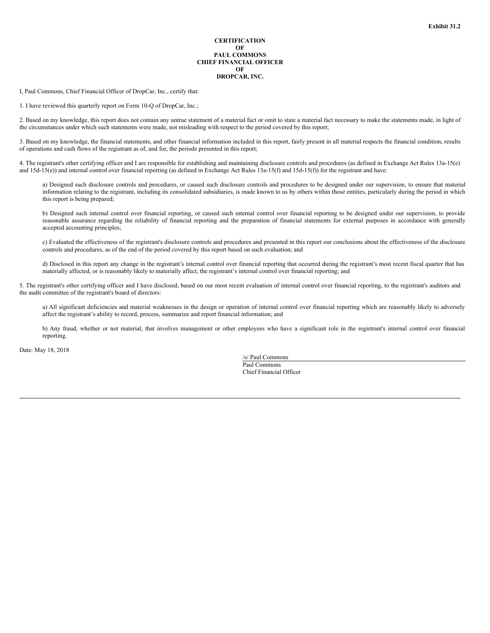## **CERTIFICATION OF PAUL COMMONS CHIEF FINANCIAL OFFICER OF DROPCAR, INC.**

<span id="page-35-0"></span>I, Paul Commons, Chief Financial Officer of DropCar, Inc., certify that:

1. I have reviewed this quarterly report on Form 10-Q of DropCar, Inc.;

2. Based on my knowledge, this report does not contain any untrue statement of a material fact or omit to state a material fact necessary to make the statements made, in light of the circumstances under which such statements were made, not misleading with respect to the period covered by this report;

3. Based on my knowledge, the financial statements, and other financial information included in this report, fairly present in all material respects the financial condition, results of operations and cash flows of the registrant as of, and for, the periods presented in this report;

4. The registrant's other certifying officer and I are responsible for establishing and maintaining disclosure controls and procedures (as defined in Exchange Act Rules 13a-15(e) and 15d-15(e)) and internal control over financial reporting (as defined in Exchange Act Rules 13a-15(f) and 15d-15(f)) for the registrant and have:

a) Designed such disclosure controls and procedures, or caused such disclosure controls and procedures to be designed under our supervision, to ensure that material information relating to the registrant, including its consolidated subsidiaries, is made known to us by others within those entities, particularly during the period in which this report is being prepared;

b) Designed such internal control over financial reporting, or caused such internal control over financial reporting to be designed under our supervision, to provide reasonable assurance regarding the reliability of financial reporting and the preparation of financial statements for external purposes in accordance with generally accepted accounting principles;

c) Evaluated the effectiveness of the registrant's disclosure controls and procedures and presented in this report our conclusions about the effectiveness of the disclosure controls and procedures, as of the end of the period covered by this report based on such evaluation; and

d) Disclosed in this report any change in the registrant's internal control over financial reporting that occurred during the registrant's most recent fiscal quarter that has materially affected, or is reasonably likely to materially affect, the registrant's internal control over financial reporting; and

5. The registrant's other certifying officer and I have disclosed, based on our most recent evaluation of internal control over financial reporting, to the registrant's auditors and the audit committee of the registrant's board of directors:

a) All significant deficiencies and material weaknesses in the design or operation of internal control over financial reporting which are reasonably likely to adversely affect the registrant's ability to record, process, summarize and report financial information; and

b) Any fraud, whether or not material, that involves management or other employees who have a significant role in the registrant's internal control over financial reporting.

Date: May 18, 2018

/s/ Paul Commons Paul Commons Chief Financial Officer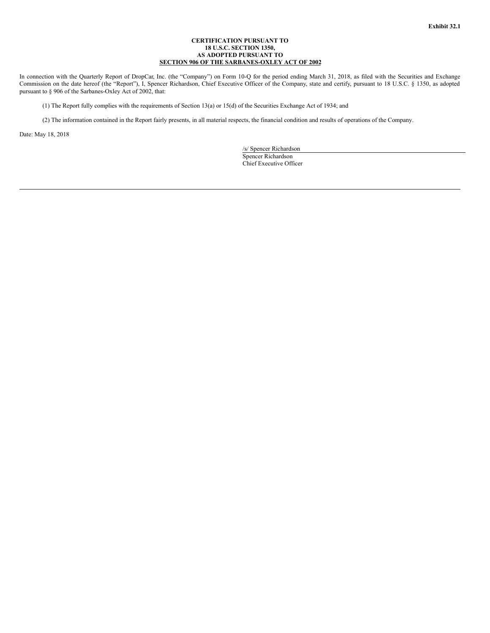## **CERTIFICATION PURSUANT TO 18 U.S.C. SECTION 1350, AS ADOPTED PURSUANT TO SECTION 906 OF THE SARBANES-OXLEY ACT OF 2002**

<span id="page-36-0"></span>In connection with the Quarterly Report of DropCar, Inc. (the "Company") on Form 10-Q for the period ending March 31, 2018, as filed with the Securities and Exchange Commission on the date hereof (the "Report"), I, Spencer Richardson, Chief Executive Officer of the Company, state and certify, pursuant to 18 U.S.C. § 1350, as adopted pursuant to § 906 of the Sarbanes-Oxley Act of 2002, that:

(1) The Report fully complies with the requirements of Section 13(a) or 15(d) of the Securities Exchange Act of 1934; and

(2) The information contained in the Report fairly presents, in all material respects, the financial condition and results of operations of the Company.

Date: May 18, 2018

/s/ Spencer Richardson Spencer Richardson Chief Executive Officer